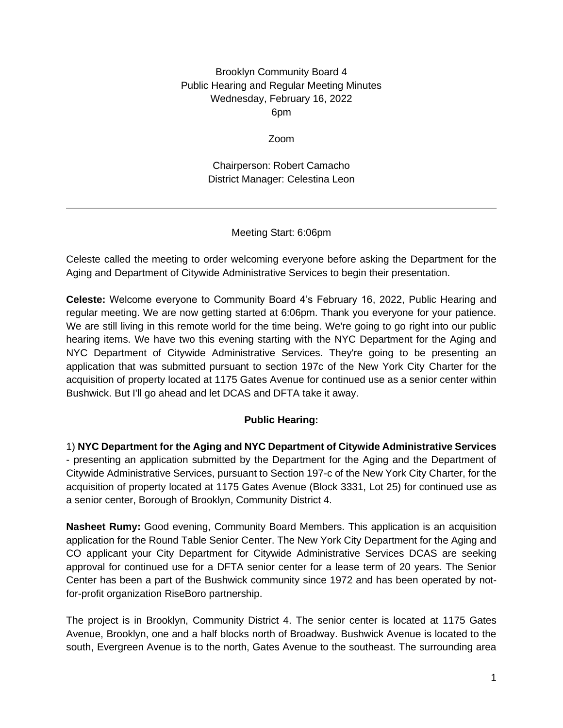## Brooklyn Community Board 4 Public Hearing and Regular Meeting Minutes Wednesday, February 16, 2022 6pm

#### Zoom

Chairperson: Robert Camacho District Manager: Celestina Leon

## Meeting Start: 6:06pm

Celeste called the meeting to order welcoming everyone before asking the Department for the Aging and Department of Citywide Administrative Services to begin their presentation.

**Celeste:** Welcome everyone to Community Board 4's February 16, 2022, Public Hearing and regular meeting. We are now getting started at 6:06pm. Thank you everyone for your patience. We are still living in this remote world for the time being. We're going to go right into our public hearing items. We have two this evening starting with the NYC Department for the Aging and NYC Department of Citywide Administrative Services. They're going to be presenting an application that was submitted pursuant to section 197c of the New York City Charter for the acquisition of property located at 1175 Gates Avenue for continued use as a senior center within Bushwick. But I'll go ahead and let DCAS and DFTA take it away.

# **Public Hearing:**

1) **NYC Department for the Aging and NYC Department of Citywide Administrative Services**  - presenting an application submitted by the Department for the Aging and the Department of Citywide Administrative Services, pursuant to Section 197-c of the New York City Charter, for the acquisition of property located at 1175 Gates Avenue (Block 3331, Lot 25) for continued use as a senior center, Borough of Brooklyn, Community District 4.

**Nasheet Rumy:** Good evening, Community Board Members. This application is an acquisition application for the Round Table Senior Center. The New York City Department for the Aging and CO applicant your City Department for Citywide Administrative Services DCAS are seeking approval for continued use for a DFTA senior center for a lease term of 20 years. The Senior Center has been a part of the Bushwick community since 1972 and has been operated by notfor-profit organization RiseBoro partnership.

The project is in Brooklyn, Community District 4. The senior center is located at 1175 Gates Avenue, Brooklyn, one and a half blocks north of Broadway. Bushwick Avenue is located to the south, Evergreen Avenue is to the north, Gates Avenue to the southeast. The surrounding area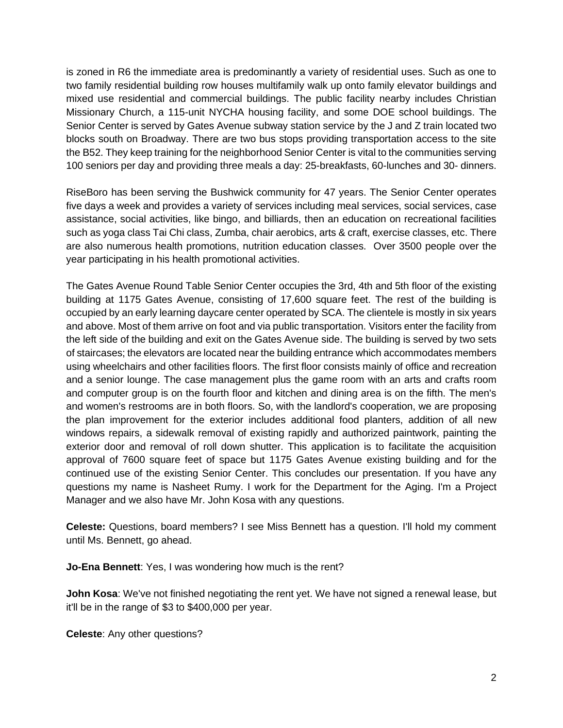is zoned in R6 the immediate area is predominantly a variety of residential uses. Such as one to two family residential building row houses multifamily walk up onto family elevator buildings and mixed use residential and commercial buildings. The public facility nearby includes Christian Missionary Church, a 115-unit NYCHA housing facility, and some DOE school buildings. The Senior Center is served by Gates Avenue subway station service by the J and Z train located two blocks south on Broadway. There are two bus stops providing transportation access to the site the B52. They keep training for the neighborhood Senior Center is vital to the communities serving 100 seniors per day and providing three meals a day: 25-breakfasts, 60-lunches and 30- dinners.

RiseBoro has been serving the Bushwick community for 47 years. The Senior Center operates five days a week and provides a variety of services including meal services, social services, case assistance, social activities, like bingo, and billiards, then an education on recreational facilities such as yoga class Tai Chi class, Zumba, chair aerobics, arts & craft, exercise classes, etc. There are also numerous health promotions, nutrition education classes. Over 3500 people over the year participating in his health promotional activities.

The Gates Avenue Round Table Senior Center occupies the 3rd, 4th and 5th floor of the existing building at 1175 Gates Avenue, consisting of 17,600 square feet. The rest of the building is occupied by an early learning daycare center operated by SCA. The clientele is mostly in six years and above. Most of them arrive on foot and via public transportation. Visitors enter the facility from the left side of the building and exit on the Gates Avenue side. The building is served by two sets of staircases; the elevators are located near the building entrance which accommodates members using wheelchairs and other facilities floors. The first floor consists mainly of office and recreation and a senior lounge. The case management plus the game room with an arts and crafts room and computer group is on the fourth floor and kitchen and dining area is on the fifth. The men's and women's restrooms are in both floors. So, with the landlord's cooperation, we are proposing the plan improvement for the exterior includes additional food planters, addition of all new windows repairs, a sidewalk removal of existing rapidly and authorized paintwork, painting the exterior door and removal of roll down shutter. This application is to facilitate the acquisition approval of 7600 square feet of space but 1175 Gates Avenue existing building and for the continued use of the existing Senior Center. This concludes our presentation. If you have any questions my name is Nasheet Rumy. I work for the Department for the Aging. I'm a Project Manager and we also have Mr. John Kosa with any questions.

**Celeste:** Questions, board members? I see Miss Bennett has a question. I'll hold my comment until Ms. Bennett, go ahead.

**Jo-Ena Bennett**: Yes, I was wondering how much is the rent?

**John Kosa**: We've not finished negotiating the rent yet. We have not signed a renewal lease, but it'll be in the range of \$3 to \$400,000 per year.

**Celeste**: Any other questions?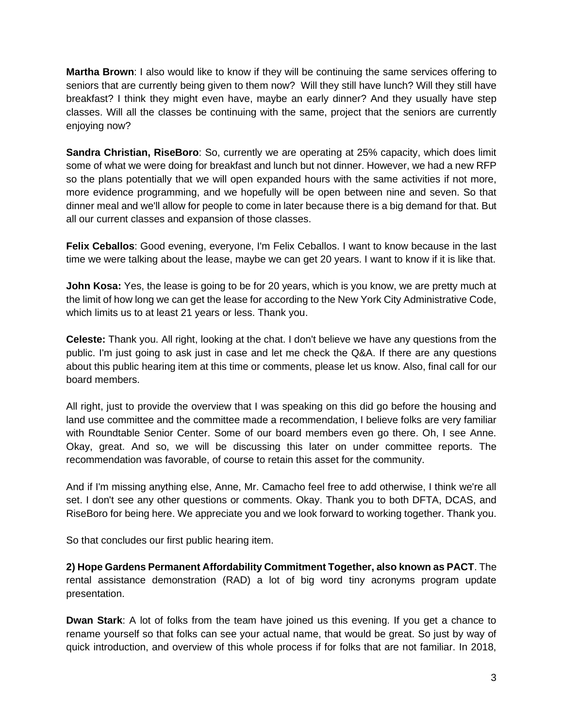**Martha Brown**: I also would like to know if they will be continuing the same services offering to seniors that are currently being given to them now? Will they still have lunch? Will they still have breakfast? I think they might even have, maybe an early dinner? And they usually have step classes. Will all the classes be continuing with the same, project that the seniors are currently enjoying now?

**Sandra Christian, RiseBoro**: So, currently we are operating at 25% capacity, which does limit some of what we were doing for breakfast and lunch but not dinner. However, we had a new RFP so the plans potentially that we will open expanded hours with the same activities if not more, more evidence programming, and we hopefully will be open between nine and seven. So that dinner meal and we'll allow for people to come in later because there is a big demand for that. But all our current classes and expansion of those classes.

**Felix Ceballos**: Good evening, everyone, I'm Felix Ceballos. I want to know because in the last time we were talking about the lease, maybe we can get 20 years. I want to know if it is like that.

**John Kosa:** Yes, the lease is going to be for 20 years, which is you know, we are pretty much at the limit of how long we can get the lease for according to the New York City Administrative Code, which limits us to at least 21 years or less. Thank you.

**Celeste:** Thank you. All right, looking at the chat. I don't believe we have any questions from the public. I'm just going to ask just in case and let me check the Q&A. If there are any questions about this public hearing item at this time or comments, please let us know. Also, final call for our board members.

All right, just to provide the overview that I was speaking on this did go before the housing and land use committee and the committee made a recommendation, I believe folks are very familiar with Roundtable Senior Center. Some of our board members even go there. Oh, I see Anne. Okay, great. And so, we will be discussing this later on under committee reports. The recommendation was favorable, of course to retain this asset for the community.

And if I'm missing anything else, Anne, Mr. Camacho feel free to add otherwise, I think we're all set. I don't see any other questions or comments. Okay. Thank you to both DFTA, DCAS, and RiseBoro for being here. We appreciate you and we look forward to working together. Thank you.

So that concludes our first public hearing item.

**2) Hope Gardens Permanent Affordability Commitment Together, also known as PACT**. The rental assistance demonstration (RAD) a lot of big word tiny acronyms program update presentation.

**Dwan Stark**: A lot of folks from the team have joined us this evening. If you get a chance to rename yourself so that folks can see your actual name, that would be great. So just by way of quick introduction, and overview of this whole process if for folks that are not familiar. In 2018,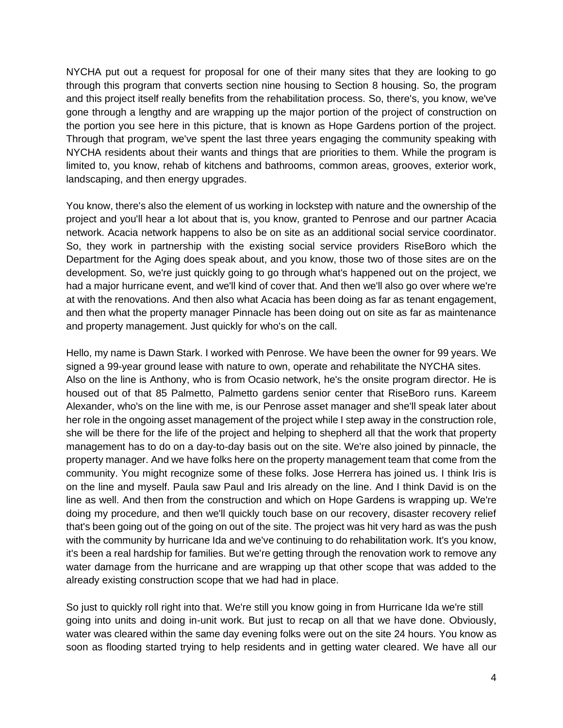NYCHA put out a request for proposal for one of their many sites that they are looking to go through this program that converts section nine housing to Section 8 housing. So, the program and this project itself really benefits from the rehabilitation process. So, there's, you know, we've gone through a lengthy and are wrapping up the major portion of the project of construction on the portion you see here in this picture, that is known as Hope Gardens portion of the project. Through that program, we've spent the last three years engaging the community speaking with NYCHA residents about their wants and things that are priorities to them. While the program is limited to, you know, rehab of kitchens and bathrooms, common areas, grooves, exterior work, landscaping, and then energy upgrades.

You know, there's also the element of us working in lockstep with nature and the ownership of the project and you'll hear a lot about that is, you know, granted to Penrose and our partner Acacia network. Acacia network happens to also be on site as an additional social service coordinator. So, they work in partnership with the existing social service providers RiseBoro which the Department for the Aging does speak about, and you know, those two of those sites are on the development. So, we're just quickly going to go through what's happened out on the project, we had a major hurricane event, and we'll kind of cover that. And then we'll also go over where we're at with the renovations. And then also what Acacia has been doing as far as tenant engagement, and then what the property manager Pinnacle has been doing out on site as far as maintenance and property management. Just quickly for who's on the call.

Hello, my name is Dawn Stark. I worked with Penrose. We have been the owner for 99 years. We signed a 99-year ground lease with nature to own, operate and rehabilitate the NYCHA sites. Also on the line is Anthony, who is from Ocasio network, he's the onsite program director. He is housed out of that 85 Palmetto, Palmetto gardens senior center that RiseBoro runs. Kareem Alexander, who's on the line with me, is our Penrose asset manager and she'll speak later about her role in the ongoing asset management of the project while I step away in the construction role, she will be there for the life of the project and helping to shepherd all that the work that property management has to do on a day-to-day basis out on the site. We're also joined by pinnacle, the property manager. And we have folks here on the property management team that come from the community. You might recognize some of these folks. Jose Herrera has joined us. I think Iris is on the line and myself. Paula saw Paul and Iris already on the line. And I think David is on the line as well. And then from the construction and which on Hope Gardens is wrapping up. We're doing my procedure, and then we'll quickly touch base on our recovery, disaster recovery relief that's been going out of the going on out of the site. The project was hit very hard as was the push with the community by hurricane Ida and we've continuing to do rehabilitation work. It's you know, it's been a real hardship for families. But we're getting through the renovation work to remove any water damage from the hurricane and are wrapping up that other scope that was added to the already existing construction scope that we had had in place.

So just to quickly roll right into that. We're still you know going in from Hurricane Ida we're still going into units and doing in-unit work. But just to recap on all that we have done. Obviously, water was cleared within the same day evening folks were out on the site 24 hours. You know as soon as flooding started trying to help residents and in getting water cleared. We have all our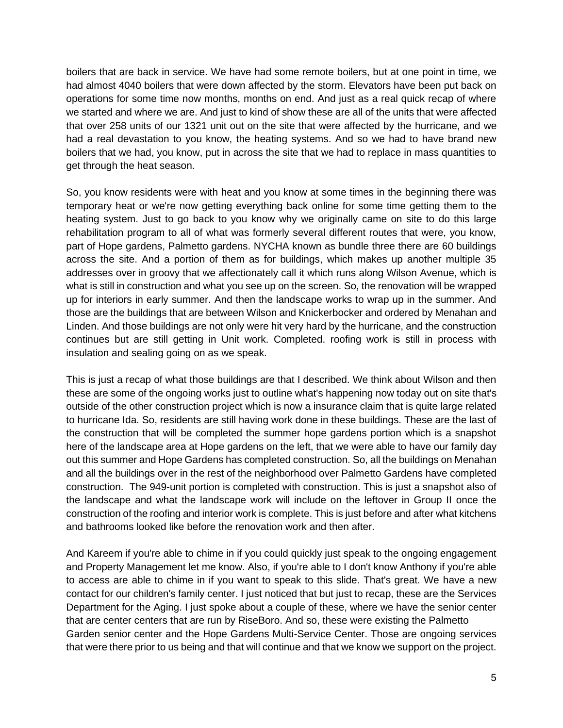boilers that are back in service. We have had some remote boilers, but at one point in time, we had almost 4040 boilers that were down affected by the storm. Elevators have been put back on operations for some time now months, months on end. And just as a real quick recap of where we started and where we are. And just to kind of show these are all of the units that were affected that over 258 units of our 1321 unit out on the site that were affected by the hurricane, and we had a real devastation to you know, the heating systems. And so we had to have brand new boilers that we had, you know, put in across the site that we had to replace in mass quantities to get through the heat season.

So, you know residents were with heat and you know at some times in the beginning there was temporary heat or we're now getting everything back online for some time getting them to the heating system. Just to go back to you know why we originally came on site to do this large rehabilitation program to all of what was formerly several different routes that were, you know, part of Hope gardens, Palmetto gardens. NYCHA known as bundle three there are 60 buildings across the site. And a portion of them as for buildings, which makes up another multiple 35 addresses over in groovy that we affectionately call it which runs along Wilson Avenue, which is what is still in construction and what you see up on the screen. So, the renovation will be wrapped up for interiors in early summer. And then the landscape works to wrap up in the summer. And those are the buildings that are between Wilson and Knickerbocker and ordered by Menahan and Linden. And those buildings are not only were hit very hard by the hurricane, and the construction continues but are still getting in Unit work. Completed. roofing work is still in process with insulation and sealing going on as we speak.

This is just a recap of what those buildings are that I described. We think about Wilson and then these are some of the ongoing works just to outline what's happening now today out on site that's outside of the other construction project which is now a insurance claim that is quite large related to hurricane Ida. So, residents are still having work done in these buildings. These are the last of the construction that will be completed the summer hope gardens portion which is a snapshot here of the landscape area at Hope gardens on the left, that we were able to have our family day out this summer and Hope Gardens has completed construction. So, all the buildings on Menahan and all the buildings over in the rest of the neighborhood over Palmetto Gardens have completed construction. The 949-unit portion is completed with construction. This is just a snapshot also of the landscape and what the landscape work will include on the leftover in Group II once the construction of the roofing and interior work is complete. This is just before and after what kitchens and bathrooms looked like before the renovation work and then after.

And Kareem if you're able to chime in if you could quickly just speak to the ongoing engagement and Property Management let me know. Also, if you're able to I don't know Anthony if you're able to access are able to chime in if you want to speak to this slide. That's great. We have a new contact for our children's family center. I just noticed that but just to recap, these are the Services Department for the Aging. I just spoke about a couple of these, where we have the senior center that are center centers that are run by RiseBoro. And so, these were existing the Palmetto Garden senior center and the Hope Gardens Multi-Service Center. Those are ongoing services that were there prior to us being and that will continue and that we know we support on the project.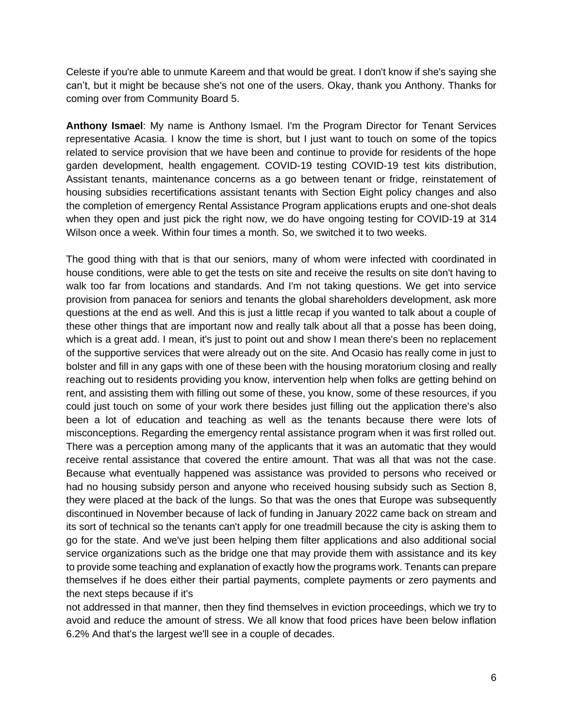Celeste if you're able to unmute Kareem and that would be great. I don't know if she's saying she can't, but it might be because she's not one of the users. Okay, thank you Anthony. Thanks for coming over from Community Board 5.

**Anthony Ismael**: My name is Anthony Ismael. I'm the Program Director for Tenant Services representative Acasia. I know the time is short, but I just want to touch on some of the topics related to service provision that we have been and continue to provide for residents of the hope garden development, health engagement. COVID-19 testing COVID-19 test kits distribution, Assistant tenants, maintenance concerns as a go between tenant or fridge, reinstatement of housing subsidies recertifications assistant tenants with Section Eight policy changes and also the completion of emergency Rental Assistance Program applications erupts and one-shot deals when they open and just pick the right now, we do have ongoing testing for COVID-19 at 314 Wilson once a week. Within four times a month. So, we switched it to two weeks.

The good thing with that is that our seniors, many of whom were infected with coordinated in house conditions, were able to get the tests on site and receive the results on site don't having to walk too far from locations and standards. And I'm not taking questions. We get into service provision from panacea for seniors and tenants the global shareholders development, ask more questions at the end as well. And this is just a little recap if you wanted to talk about a couple of these other things that are important now and really talk about all that a posse has been doing, which is a great add. I mean, it's just to point out and show I mean there's been no replacement of the supportive services that were already out on the site. And Ocasio has really come in just to bolster and fill in any gaps with one of these been with the housing moratorium closing and really reaching out to residents providing you know, intervention help when folks are getting behind on rent, and assisting them with filling out some of these, you know, some of these resources, if you could just touch on some of your work there besides just filling out the application there's also been a lot of education and teaching as well as the tenants because there were lots of misconceptions. Regarding the emergency rental assistance program when it was first rolled out. There was a perception among many of the applicants that it was an automatic that they would receive rental assistance that covered the entire amount. That was all that was not the case. Because what eventually happened was assistance was provided to persons who received or had no housing subsidy person and anyone who received housing subsidy such as Section 8, they were placed at the back of the lungs. So that was the ones that Europe was subsequently discontinued in November because of lack of funding in January 2022 came back on stream and its sort of technical so the tenants can't apply for one treadmill because the city is asking them to go for the state. And we've just been helping them filter applications and also additional social service organizations such as the bridge one that may provide them with assistance and its key to provide some teaching and explanation of exactly how the programs work. Tenants can prepare themselves if he does either their partial payments, complete payments or zero payments and the next steps because if it's

not addressed in that manner, then they find themselves in eviction proceedings, which we try to avoid and reduce the amount of stress. We all know that food prices have been below inflation 6.2% And that's the largest we'll see in a couple of decades.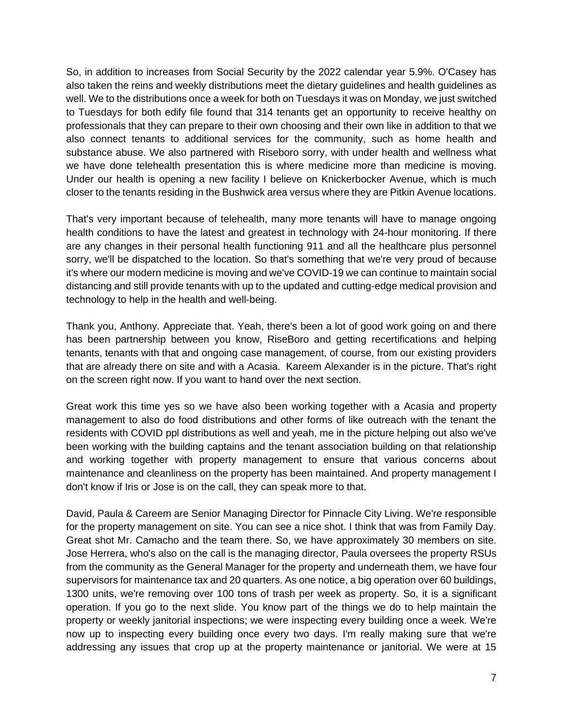So, in addition to increases from Social Security by the 2022 calendar year 5.9%. O'Casey has also taken the reins and weekly distributions meet the dietary guidelines and health guidelines as well. We to the distributions once a week for both on Tuesdays it was on Monday, we just switched to Tuesdays for both edify file found that 314 tenants get an opportunity to receive healthy on professionals that they can prepare to their own choosing and their own like in addition to that we also connect tenants to additional services for the community, such as home health and substance abuse. We also partnered with Riseboro sorry, with under health and wellness what we have done telehealth presentation this is where medicine more than medicine is moving. Under our health is opening a new facility I believe on Knickerbocker Avenue, which is much closer to the tenants residing in the Bushwick area versus where they are Pitkin Avenue locations.

That's very important because of telehealth, many more tenants will have to manage ongoing health conditions to have the latest and greatest in technology with 24-hour monitoring. If there are any changes in their personal health functioning 911 and all the healthcare plus personnel sorry, we'll be dispatched to the location. So that's something that we're very proud of because it's where our modern medicine is moving and we've COVID-19 we can continue to maintain social distancing and still provide tenants with up to the updated and cutting-edge medical provision and technology to help in the health and well-being.

Thank you, Anthony. Appreciate that. Yeah, there's been a lot of good work going on and there has been partnership between you know, RiseBoro and getting recertifications and helping tenants, tenants with that and ongoing case management, of course, from our existing providers that are already there on site and with a Acasia. Kareem Alexander is in the picture. That's right on the screen right now. If you want to hand over the next section.

Great work this time yes so we have also been working together with a Acasia and property management to also do food distributions and other forms of like outreach with the tenant the residents with COVID ppl distributions as well and yeah, me in the picture helping out also we've been working with the building captains and the tenant association building on that relationship and working together with property management to ensure that various concerns about maintenance and cleanliness on the property has been maintained. And property management I don't know if Iris or Jose is on the call, they can speak more to that.

David, Paula & Careem are Senior Managing Director for Pinnacle City Living. We're responsible for the property management on site. You can see a nice shot. I think that was from Family Day. Great shot Mr. Camacho and the team there. So, we have approximately 30 members on site. Jose Herrera, who's also on the call is the managing director, Paula oversees the property RSUs from the community as the General Manager for the property and underneath them, we have four supervisors for maintenance tax and 20 quarters. As one notice, a big operation over 60 buildings, 1300 units, we're removing over 100 tons of trash per week as property. So, it is a significant operation. If you go to the next slide. You know part of the things we do to help maintain the property or weekly janitorial inspections; we were inspecting every building once a week. We're now up to inspecting every building once every two days. I'm really making sure that we're addressing any issues that crop up at the property maintenance or janitorial. We were at 15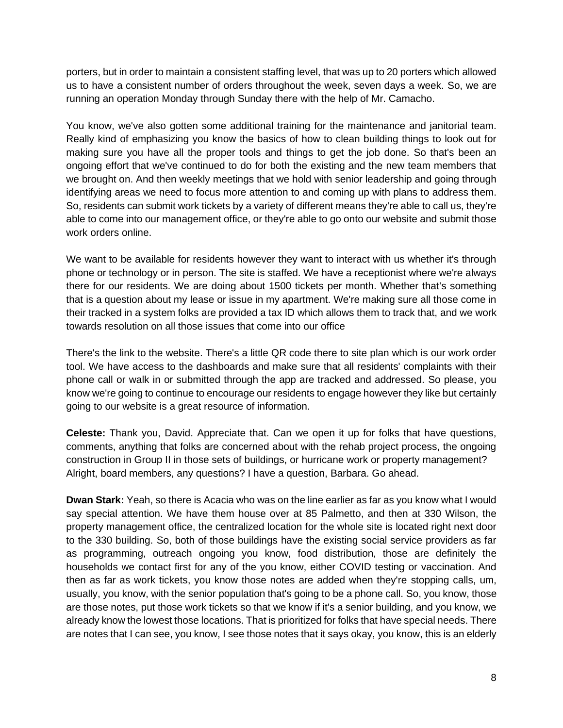porters, but in order to maintain a consistent staffing level, that was up to 20 porters which allowed us to have a consistent number of orders throughout the week, seven days a week. So, we are running an operation Monday through Sunday there with the help of Mr. Camacho.

You know, we've also gotten some additional training for the maintenance and janitorial team. Really kind of emphasizing you know the basics of how to clean building things to look out for making sure you have all the proper tools and things to get the job done. So that's been an ongoing effort that we've continued to do for both the existing and the new team members that we brought on. And then weekly meetings that we hold with senior leadership and going through identifying areas we need to focus more attention to and coming up with plans to address them. So, residents can submit work tickets by a variety of different means they're able to call us, they're able to come into our management office, or they're able to go onto our website and submit those work orders online.

We want to be available for residents however they want to interact with us whether it's through phone or technology or in person. The site is staffed. We have a receptionist where we're always there for our residents. We are doing about 1500 tickets per month. Whether that's something that is a question about my lease or issue in my apartment. We're making sure all those come in their tracked in a system folks are provided a tax ID which allows them to track that, and we work towards resolution on all those issues that come into our office

There's the link to the website. There's a little QR code there to site plan which is our work order tool. We have access to the dashboards and make sure that all residents' complaints with their phone call or walk in or submitted through the app are tracked and addressed. So please, you know we're going to continue to encourage our residents to engage however they like but certainly going to our website is a great resource of information.

**Celeste:** Thank you, David. Appreciate that. Can we open it up for folks that have questions, comments, anything that folks are concerned about with the rehab project process, the ongoing construction in Group II in those sets of buildings, or hurricane work or property management? Alright, board members, any questions? I have a question, Barbara. Go ahead.

**Dwan Stark:** Yeah, so there is Acacia who was on the line earlier as far as you know what I would say special attention. We have them house over at 85 Palmetto, and then at 330 Wilson, the property management office, the centralized location for the whole site is located right next door to the 330 building. So, both of those buildings have the existing social service providers as far as programming, outreach ongoing you know, food distribution, those are definitely the households we contact first for any of the you know, either COVID testing or vaccination. And then as far as work tickets, you know those notes are added when they're stopping calls, um, usually, you know, with the senior population that's going to be a phone call. So, you know, those are those notes, put those work tickets so that we know if it's a senior building, and you know, we already know the lowest those locations. That is prioritized for folks that have special needs. There are notes that I can see, you know, I see those notes that it says okay, you know, this is an elderly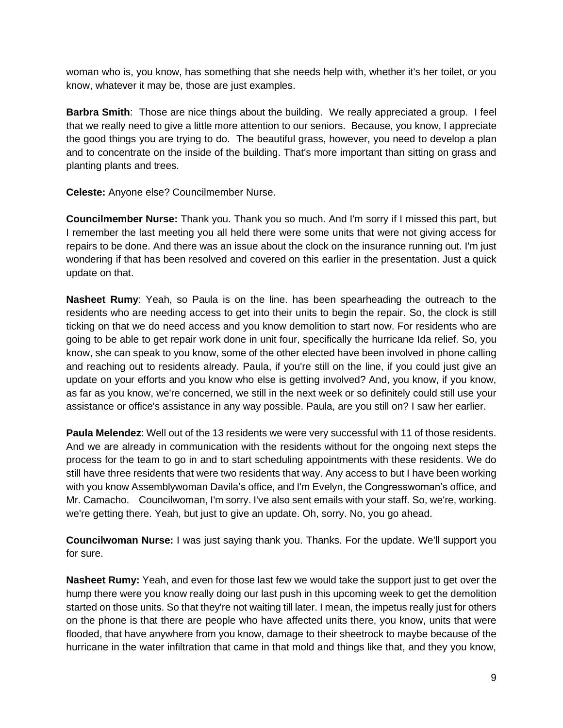woman who is, you know, has something that she needs help with, whether it's her toilet, or you know, whatever it may be, those are just examples.

**Barbra Smith**: Those are nice things about the building. We really appreciated a group. I feel that we really need to give a little more attention to our seniors. Because, you know, I appreciate the good things you are trying to do. The beautiful grass, however, you need to develop a plan and to concentrate on the inside of the building. That's more important than sitting on grass and planting plants and trees.

**Celeste:** Anyone else? Councilmember Nurse.

**Councilmember Nurse:** Thank you. Thank you so much. And I'm sorry if I missed this part, but I remember the last meeting you all held there were some units that were not giving access for repairs to be done. And there was an issue about the clock on the insurance running out. I'm just wondering if that has been resolved and covered on this earlier in the presentation. Just a quick update on that.

**Nasheet Rumy**: Yeah, so Paula is on the line. has been spearheading the outreach to the residents who are needing access to get into their units to begin the repair. So, the clock is still ticking on that we do need access and you know demolition to start now. For residents who are going to be able to get repair work done in unit four, specifically the hurricane Ida relief. So, you know, she can speak to you know, some of the other elected have been involved in phone calling and reaching out to residents already. Paula, if you're still on the line, if you could just give an update on your efforts and you know who else is getting involved? And, you know, if you know, as far as you know, we're concerned, we still in the next week or so definitely could still use your assistance or office's assistance in any way possible. Paula, are you still on? I saw her earlier.

**Paula Melendez**: Well out of the 13 residents we were very successful with 11 of those residents. And we are already in communication with the residents without for the ongoing next steps the process for the team to go in and to start scheduling appointments with these residents. We do still have three residents that were two residents that way. Any access to but I have been working with you know Assemblywoman Davila's office, and I'm Evelyn, the Congresswoman's office, and Mr. Camacho. Councilwoman, I'm sorry. I've also sent emails with your staff. So, we're, working. we're getting there. Yeah, but just to give an update. Oh, sorry. No, you go ahead.

**Councilwoman Nurse:** I was just saying thank you. Thanks. For the update. We'll support you for sure.

**Nasheet Rumy:** Yeah, and even for those last few we would take the support just to get over the hump there were you know really doing our last push in this upcoming week to get the demolition started on those units. So that they're not waiting till later. I mean, the impetus really just for others on the phone is that there are people who have affected units there, you know, units that were flooded, that have anywhere from you know, damage to their sheetrock to maybe because of the hurricane in the water infiltration that came in that mold and things like that, and they you know,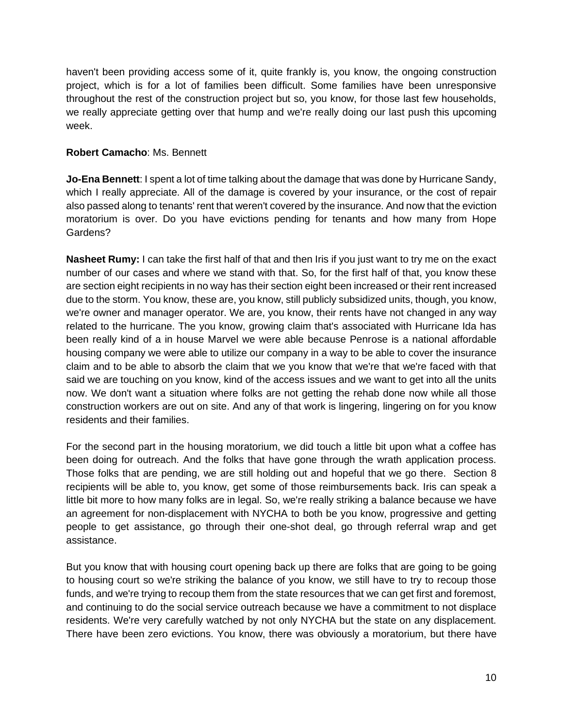haven't been providing access some of it, quite frankly is, you know, the ongoing construction project, which is for a lot of families been difficult. Some families have been unresponsive throughout the rest of the construction project but so, you know, for those last few households, we really appreciate getting over that hump and we're really doing our last push this upcoming week.

## **Robert Camacho**: Ms. Bennett

**Jo-Ena Bennett**: I spent a lot of time talking about the damage that was done by Hurricane Sandy, which I really appreciate. All of the damage is covered by your insurance, or the cost of repair also passed along to tenants' rent that weren't covered by the insurance. And now that the eviction moratorium is over. Do you have evictions pending for tenants and how many from Hope Gardens?

**Nasheet Rumy:** I can take the first half of that and then Iris if you just want to try me on the exact number of our cases and where we stand with that. So, for the first half of that, you know these are section eight recipients in no way has their section eight been increased or their rent increased due to the storm. You know, these are, you know, still publicly subsidized units, though, you know, we're owner and manager operator. We are, you know, their rents have not changed in any way related to the hurricane. The you know, growing claim that's associated with Hurricane Ida has been really kind of a in house Marvel we were able because Penrose is a national affordable housing company we were able to utilize our company in a way to be able to cover the insurance claim and to be able to absorb the claim that we you know that we're that we're faced with that said we are touching on you know, kind of the access issues and we want to get into all the units now. We don't want a situation where folks are not getting the rehab done now while all those construction workers are out on site. And any of that work is lingering, lingering on for you know residents and their families.

For the second part in the housing moratorium, we did touch a little bit upon what a coffee has been doing for outreach. And the folks that have gone through the wrath application process. Those folks that are pending, we are still holding out and hopeful that we go there. Section 8 recipients will be able to, you know, get some of those reimbursements back. Iris can speak a little bit more to how many folks are in legal. So, we're really striking a balance because we have an agreement for non-displacement with NYCHA to both be you know, progressive and getting people to get assistance, go through their one-shot deal, go through referral wrap and get assistance.

But you know that with housing court opening back up there are folks that are going to be going to housing court so we're striking the balance of you know, we still have to try to recoup those funds, and we're trying to recoup them from the state resources that we can get first and foremost, and continuing to do the social service outreach because we have a commitment to not displace residents. We're very carefully watched by not only NYCHA but the state on any displacement. There have been zero evictions. You know, there was obviously a moratorium, but there have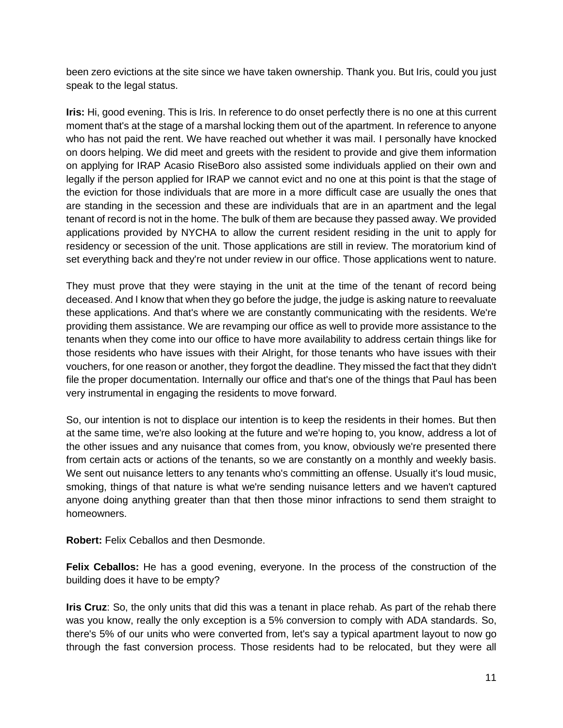been zero evictions at the site since we have taken ownership. Thank you. But Iris, could you just speak to the legal status.

**Iris:** Hi, good evening. This is Iris. In reference to do onset perfectly there is no one at this current moment that's at the stage of a marshal locking them out of the apartment. In reference to anyone who has not paid the rent. We have reached out whether it was mail. I personally have knocked on doors helping. We did meet and greets with the resident to provide and give them information on applying for IRAP Acasio RiseBoro also assisted some individuals applied on their own and legally if the person applied for IRAP we cannot evict and no one at this point is that the stage of the eviction for those individuals that are more in a more difficult case are usually the ones that are standing in the secession and these are individuals that are in an apartment and the legal tenant of record is not in the home. The bulk of them are because they passed away. We provided applications provided by NYCHA to allow the current resident residing in the unit to apply for residency or secession of the unit. Those applications are still in review. The moratorium kind of set everything back and they're not under review in our office. Those applications went to nature.

They must prove that they were staying in the unit at the time of the tenant of record being deceased. And I know that when they go before the judge, the judge is asking nature to reevaluate these applications. And that's where we are constantly communicating with the residents. We're providing them assistance. We are revamping our office as well to provide more assistance to the tenants when they come into our office to have more availability to address certain things like for those residents who have issues with their Alright, for those tenants who have issues with their vouchers, for one reason or another, they forgot the deadline. They missed the fact that they didn't file the proper documentation. Internally our office and that's one of the things that Paul has been very instrumental in engaging the residents to move forward.

So, our intention is not to displace our intention is to keep the residents in their homes. But then at the same time, we're also looking at the future and we're hoping to, you know, address a lot of the other issues and any nuisance that comes from, you know, obviously we're presented there from certain acts or actions of the tenants, so we are constantly on a monthly and weekly basis. We sent out nuisance letters to any tenants who's committing an offense. Usually it's loud music, smoking, things of that nature is what we're sending nuisance letters and we haven't captured anyone doing anything greater than that then those minor infractions to send them straight to homeowners.

**Robert:** Felix Ceballos and then Desmonde.

**Felix Ceballos:** He has a good evening, everyone. In the process of the construction of the building does it have to be empty?

**Iris Cruz**: So, the only units that did this was a tenant in place rehab. As part of the rehab there was you know, really the only exception is a 5% conversion to comply with ADA standards. So, there's 5% of our units who were converted from, let's say a typical apartment layout to now go through the fast conversion process. Those residents had to be relocated, but they were all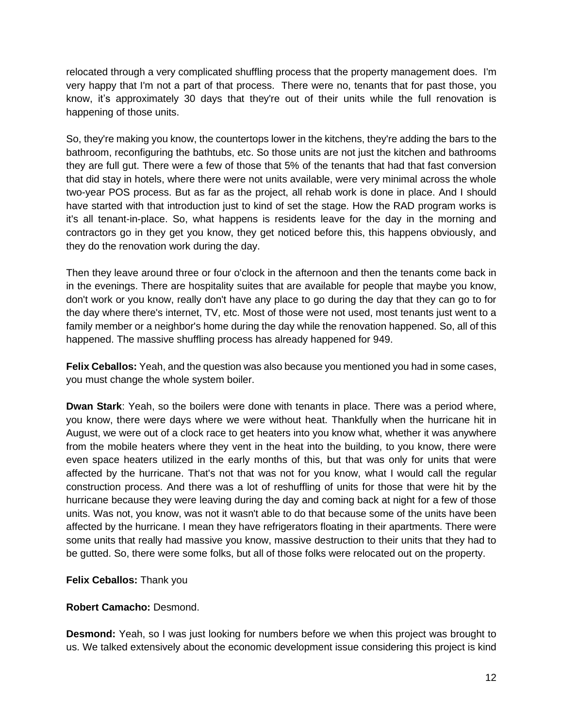relocated through a very complicated shuffling process that the property management does. I'm very happy that I'm not a part of that process. There were no, tenants that for past those, you know, it's approximately 30 days that they're out of their units while the full renovation is happening of those units.

So, they're making you know, the countertops lower in the kitchens, they're adding the bars to the bathroom, reconfiguring the bathtubs, etc. So those units are not just the kitchen and bathrooms they are full gut. There were a few of those that 5% of the tenants that had that fast conversion that did stay in hotels, where there were not units available, were very minimal across the whole two-year POS process. But as far as the project, all rehab work is done in place. And I should have started with that introduction just to kind of set the stage. How the RAD program works is it's all tenant-in-place. So, what happens is residents leave for the day in the morning and contractors go in they get you know, they get noticed before this, this happens obviously, and they do the renovation work during the day.

Then they leave around three or four o'clock in the afternoon and then the tenants come back in in the evenings. There are hospitality suites that are available for people that maybe you know, don't work or you know, really don't have any place to go during the day that they can go to for the day where there's internet, TV, etc. Most of those were not used, most tenants just went to a family member or a neighbor's home during the day while the renovation happened. So, all of this happened. The massive shuffling process has already happened for 949.

**Felix Ceballos:** Yeah, and the question was also because you mentioned you had in some cases, you must change the whole system boiler.

**Dwan Stark**: Yeah, so the boilers were done with tenants in place. There was a period where, you know, there were days where we were without heat. Thankfully when the hurricane hit in August, we were out of a clock race to get heaters into you know what, whether it was anywhere from the mobile heaters where they vent in the heat into the building, to you know, there were even space heaters utilized in the early months of this, but that was only for units that were affected by the hurricane. That's not that was not for you know, what I would call the regular construction process. And there was a lot of reshuffling of units for those that were hit by the hurricane because they were leaving during the day and coming back at night for a few of those units. Was not, you know, was not it wasn't able to do that because some of the units have been affected by the hurricane. I mean they have refrigerators floating in their apartments. There were some units that really had massive you know, massive destruction to their units that they had to be gutted. So, there were some folks, but all of those folks were relocated out on the property.

# **Felix Ceballos:** Thank you

#### **Robert Camacho:** Desmond.

**Desmond:** Yeah, so I was just looking for numbers before we when this project was brought to us. We talked extensively about the economic development issue considering this project is kind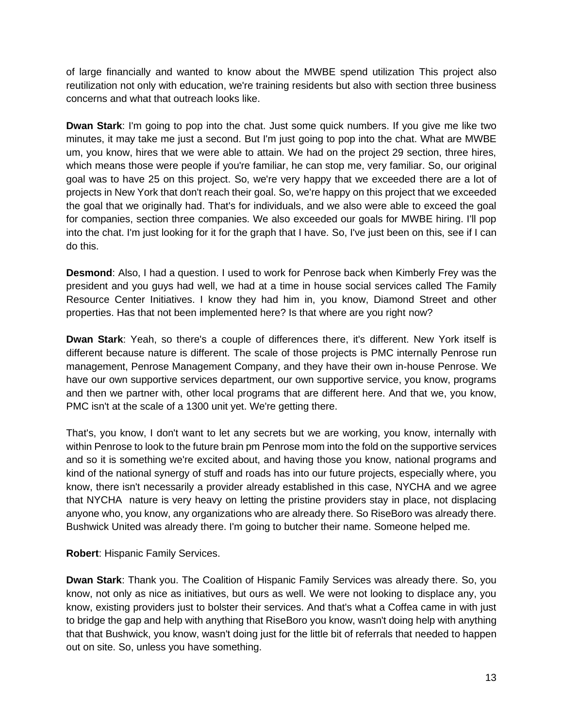of large financially and wanted to know about the MWBE spend utilization This project also reutilization not only with education, we're training residents but also with section three business concerns and what that outreach looks like.

**Dwan Stark**: I'm going to pop into the chat. Just some quick numbers. If you give me like two minutes, it may take me just a second. But I'm just going to pop into the chat. What are MWBE um, you know, hires that we were able to attain. We had on the project 29 section, three hires, which means those were people if you're familiar, he can stop me, very familiar. So, our original goal was to have 25 on this project. So, we're very happy that we exceeded there are a lot of projects in New York that don't reach their goal. So, we're happy on this project that we exceeded the goal that we originally had. That's for individuals, and we also were able to exceed the goal for companies, section three companies. We also exceeded our goals for MWBE hiring. I'll pop into the chat. I'm just looking for it for the graph that I have. So, I've just been on this, see if I can do this.

**Desmond**: Also, I had a question. I used to work for Penrose back when Kimberly Frey was the president and you guys had well, we had at a time in house social services called The Family Resource Center Initiatives. I know they had him in, you know, Diamond Street and other properties. Has that not been implemented here? Is that where are you right now?

**Dwan Stark**: Yeah, so there's a couple of differences there, it's different. New York itself is different because nature is different. The scale of those projects is PMC internally Penrose run management, Penrose Management Company, and they have their own in-house Penrose. We have our own supportive services department, our own supportive service, you know, programs and then we partner with, other local programs that are different here. And that we, you know, PMC isn't at the scale of a 1300 unit yet. We're getting there.

That's, you know, I don't want to let any secrets but we are working, you know, internally with within Penrose to look to the future brain pm Penrose mom into the fold on the supportive services and so it is something we're excited about, and having those you know, national programs and kind of the national synergy of stuff and roads has into our future projects, especially where, you know, there isn't necessarily a provider already established in this case, NYCHA and we agree that NYCHA nature is very heavy on letting the pristine providers stay in place, not displacing anyone who, you know, any organizations who are already there. So RiseBoro was already there. Bushwick United was already there. I'm going to butcher their name. Someone helped me.

**Robert**: Hispanic Family Services.

**Dwan Stark**: Thank you. The Coalition of Hispanic Family Services was already there. So, you know, not only as nice as initiatives, but ours as well. We were not looking to displace any, you know, existing providers just to bolster their services. And that's what a Coffea came in with just to bridge the gap and help with anything that RiseBoro you know, wasn't doing help with anything that that Bushwick, you know, wasn't doing just for the little bit of referrals that needed to happen out on site. So, unless you have something.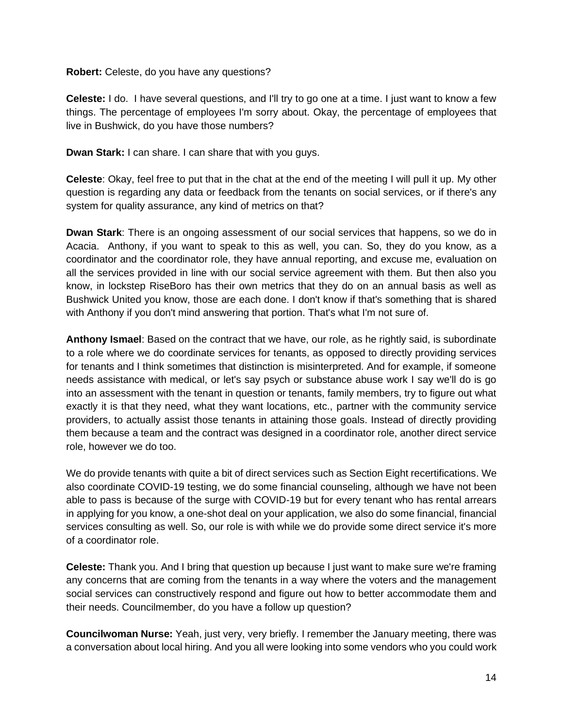**Robert:** Celeste, do you have any questions?

**Celeste:** I do. I have several questions, and I'll try to go one at a time. I just want to know a few things. The percentage of employees I'm sorry about. Okay, the percentage of employees that live in Bushwick, do you have those numbers?

**Dwan Stark:** I can share. I can share that with you guys.

**Celeste**: Okay, feel free to put that in the chat at the end of the meeting I will pull it up. My other question is regarding any data or feedback from the tenants on social services, or if there's any system for quality assurance, any kind of metrics on that?

**Dwan Stark**: There is an ongoing assessment of our social services that happens, so we do in Acacia. Anthony, if you want to speak to this as well, you can. So, they do you know, as a coordinator and the coordinator role, they have annual reporting, and excuse me, evaluation on all the services provided in line with our social service agreement with them. But then also you know, in lockstep RiseBoro has their own metrics that they do on an annual basis as well as Bushwick United you know, those are each done. I don't know if that's something that is shared with Anthony if you don't mind answering that portion. That's what I'm not sure of.

**Anthony Ismael**: Based on the contract that we have, our role, as he rightly said, is subordinate to a role where we do coordinate services for tenants, as opposed to directly providing services for tenants and I think sometimes that distinction is misinterpreted. And for example, if someone needs assistance with medical, or let's say psych or substance abuse work I say we'll do is go into an assessment with the tenant in question or tenants, family members, try to figure out what exactly it is that they need, what they want locations, etc., partner with the community service providers, to actually assist those tenants in attaining those goals. Instead of directly providing them because a team and the contract was designed in a coordinator role, another direct service role, however we do too.

We do provide tenants with quite a bit of direct services such as Section Eight recertifications. We also coordinate COVID-19 testing, we do some financial counseling, although we have not been able to pass is because of the surge with COVID-19 but for every tenant who has rental arrears in applying for you know, a one-shot deal on your application, we also do some financial, financial services consulting as well. So, our role is with while we do provide some direct service it's more of a coordinator role.

**Celeste:** Thank you. And I bring that question up because I just want to make sure we're framing any concerns that are coming from the tenants in a way where the voters and the management social services can constructively respond and figure out how to better accommodate them and their needs. Councilmember, do you have a follow up question?

**Councilwoman Nurse:** Yeah, just very, very briefly. I remember the January meeting, there was a conversation about local hiring. And you all were looking into some vendors who you could work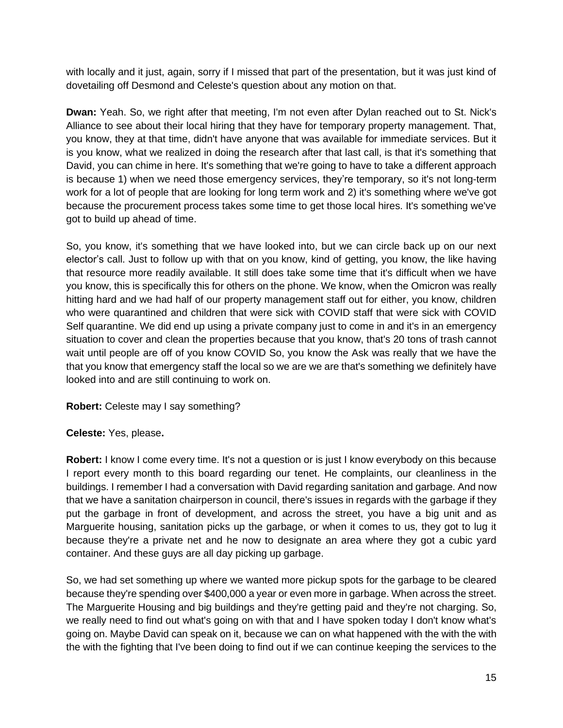with locally and it just, again, sorry if I missed that part of the presentation, but it was just kind of dovetailing off Desmond and Celeste's question about any motion on that.

**Dwan:** Yeah. So, we right after that meeting, I'm not even after Dylan reached out to St. Nick's Alliance to see about their local hiring that they have for temporary property management. That, you know, they at that time, didn't have anyone that was available for immediate services. But it is you know, what we realized in doing the research after that last call, is that it's something that David, you can chime in here. It's something that we're going to have to take a different approach is because 1) when we need those emergency services, they're temporary, so it's not long-term work for a lot of people that are looking for long term work and 2) it's something where we've got because the procurement process takes some time to get those local hires. It's something we've got to build up ahead of time.

So, you know, it's something that we have looked into, but we can circle back up on our next elector's call. Just to follow up with that on you know, kind of getting, you know, the like having that resource more readily available. It still does take some time that it's difficult when we have you know, this is specifically this for others on the phone. We know, when the Omicron was really hitting hard and we had half of our property management staff out for either, you know, children who were quarantined and children that were sick with COVID staff that were sick with COVID Self quarantine. We did end up using a private company just to come in and it's in an emergency situation to cover and clean the properties because that you know, that's 20 tons of trash cannot wait until people are off of you know COVID So, you know the Ask was really that we have the that you know that emergency staff the local so we are we are that's something we definitely have looked into and are still continuing to work on.

#### **Robert:** Celeste may I say something?

#### **Celeste:** Yes, please**.**

**Robert:** I know I come every time. It's not a question or is just I know everybody on this because I report every month to this board regarding our tenet. He complaints, our cleanliness in the buildings. I remember I had a conversation with David regarding sanitation and garbage. And now that we have a sanitation chairperson in council, there's issues in regards with the garbage if they put the garbage in front of development, and across the street, you have a big unit and as Marguerite housing, sanitation picks up the garbage, or when it comes to us, they got to lug it because they're a private net and he now to designate an area where they got a cubic yard container. And these guys are all day picking up garbage.

So, we had set something up where we wanted more pickup spots for the garbage to be cleared because they're spending over \$400,000 a year or even more in garbage. When across the street. The Marguerite Housing and big buildings and they're getting paid and they're not charging. So, we really need to find out what's going on with that and I have spoken today I don't know what's going on. Maybe David can speak on it, because we can on what happened with the with the with the with the fighting that I've been doing to find out if we can continue keeping the services to the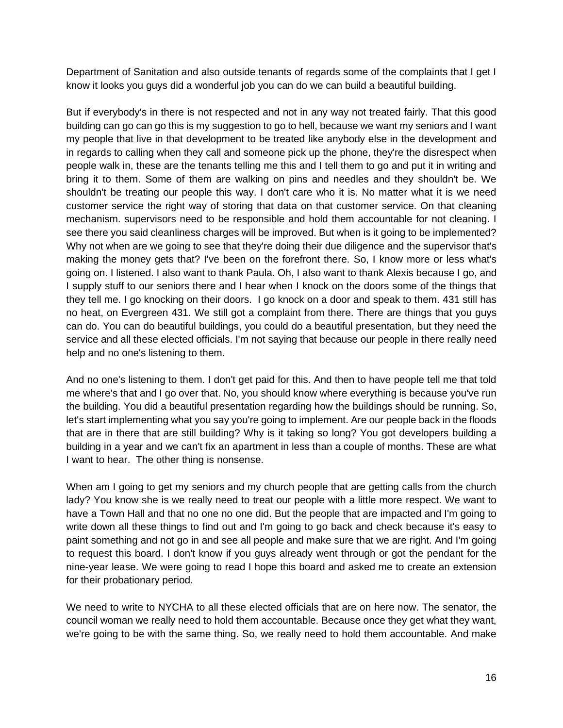Department of Sanitation and also outside tenants of regards some of the complaints that I get I know it looks you guys did a wonderful job you can do we can build a beautiful building.

But if everybody's in there is not respected and not in any way not treated fairly. That this good building can go can go this is my suggestion to go to hell, because we want my seniors and I want my people that live in that development to be treated like anybody else in the development and in regards to calling when they call and someone pick up the phone, they're the disrespect when people walk in, these are the tenants telling me this and I tell them to go and put it in writing and bring it to them. Some of them are walking on pins and needles and they shouldn't be. We shouldn't be treating our people this way. I don't care who it is. No matter what it is we need customer service the right way of storing that data on that customer service. On that cleaning mechanism. supervisors need to be responsible and hold them accountable for not cleaning. I see there you said cleanliness charges will be improved. But when is it going to be implemented? Why not when are we going to see that they're doing their due diligence and the supervisor that's making the money gets that? I've been on the forefront there. So, I know more or less what's going on. I listened. I also want to thank Paula. Oh, I also want to thank Alexis because I go, and I supply stuff to our seniors there and I hear when I knock on the doors some of the things that they tell me. I go knocking on their doors. I go knock on a door and speak to them. 431 still has no heat, on Evergreen 431. We still got a complaint from there. There are things that you guys can do. You can do beautiful buildings, you could do a beautiful presentation, but they need the service and all these elected officials. I'm not saying that because our people in there really need help and no one's listening to them.

And no one's listening to them. I don't get paid for this. And then to have people tell me that told me where's that and I go over that. No, you should know where everything is because you've run the building. You did a beautiful presentation regarding how the buildings should be running. So, let's start implementing what you say you're going to implement. Are our people back in the floods that are in there that are still building? Why is it taking so long? You got developers building a building in a year and we can't fix an apartment in less than a couple of months. These are what I want to hear. The other thing is nonsense.

When am I going to get my seniors and my church people that are getting calls from the church lady? You know she is we really need to treat our people with a little more respect. We want to have a Town Hall and that no one no one did. But the people that are impacted and I'm going to write down all these things to find out and I'm going to go back and check because it's easy to paint something and not go in and see all people and make sure that we are right. And I'm going to request this board. I don't know if you guys already went through or got the pendant for the nine-year lease. We were going to read I hope this board and asked me to create an extension for their probationary period.

We need to write to NYCHA to all these elected officials that are on here now. The senator, the council woman we really need to hold them accountable. Because once they get what they want, we're going to be with the same thing. So, we really need to hold them accountable. And make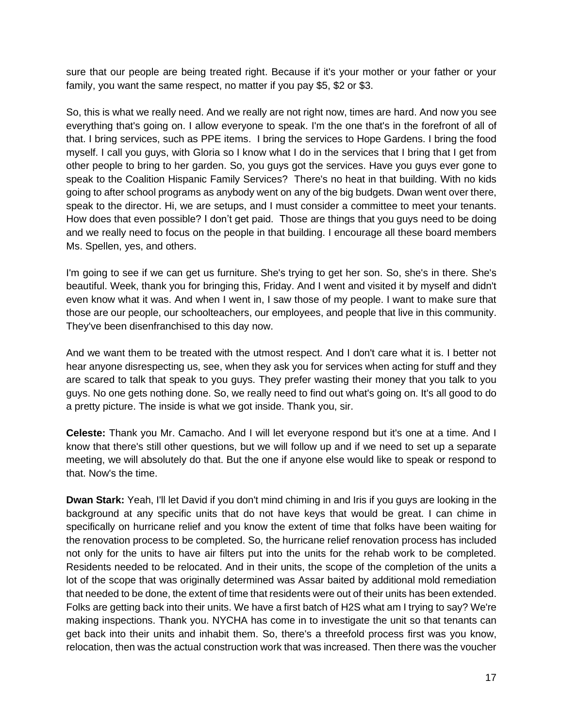sure that our people are being treated right. Because if it's your mother or your father or your family, you want the same respect, no matter if you pay \$5, \$2 or \$3.

So, this is what we really need. And we really are not right now, times are hard. And now you see everything that's going on. I allow everyone to speak. I'm the one that's in the forefront of all of that. I bring services, such as PPE items. I bring the services to Hope Gardens. I bring the food myself. I call you guys, with Gloria so I know what I do in the services that I bring that I get from other people to bring to her garden. So, you guys got the services. Have you guys ever gone to speak to the Coalition Hispanic Family Services? There's no heat in that building. With no kids going to after school programs as anybody went on any of the big budgets. Dwan went over there, speak to the director. Hi, we are setups, and I must consider a committee to meet your tenants. How does that even possible? I don't get paid. Those are things that you guys need to be doing and we really need to focus on the people in that building. I encourage all these board members Ms. Spellen, yes, and others.

I'm going to see if we can get us furniture. She's trying to get her son. So, she's in there. She's beautiful. Week, thank you for bringing this, Friday. And I went and visited it by myself and didn't even know what it was. And when I went in, I saw those of my people. I want to make sure that those are our people, our schoolteachers, our employees, and people that live in this community. They've been disenfranchised to this day now.

And we want them to be treated with the utmost respect. And I don't care what it is. I better not hear anyone disrespecting us, see, when they ask you for services when acting for stuff and they are scared to talk that speak to you guys. They prefer wasting their money that you talk to you guys. No one gets nothing done. So, we really need to find out what's going on. It's all good to do a pretty picture. The inside is what we got inside. Thank you, sir.

**Celeste:** Thank you Mr. Camacho. And I will let everyone respond but it's one at a time. And I know that there's still other questions, but we will follow up and if we need to set up a separate meeting, we will absolutely do that. But the one if anyone else would like to speak or respond to that. Now's the time.

**Dwan Stark:** Yeah, I'll let David if you don't mind chiming in and Iris if you guys are looking in the background at any specific units that do not have keys that would be great. I can chime in specifically on hurricane relief and you know the extent of time that folks have been waiting for the renovation process to be completed. So, the hurricane relief renovation process has included not only for the units to have air filters put into the units for the rehab work to be completed. Residents needed to be relocated. And in their units, the scope of the completion of the units a lot of the scope that was originally determined was Assar baited by additional mold remediation that needed to be done, the extent of time that residents were out of their units has been extended. Folks are getting back into their units. We have a first batch of H2S what am I trying to say? We're making inspections. Thank you. NYCHA has come in to investigate the unit so that tenants can get back into their units and inhabit them. So, there's a threefold process first was you know, relocation, then was the actual construction work that was increased. Then there was the voucher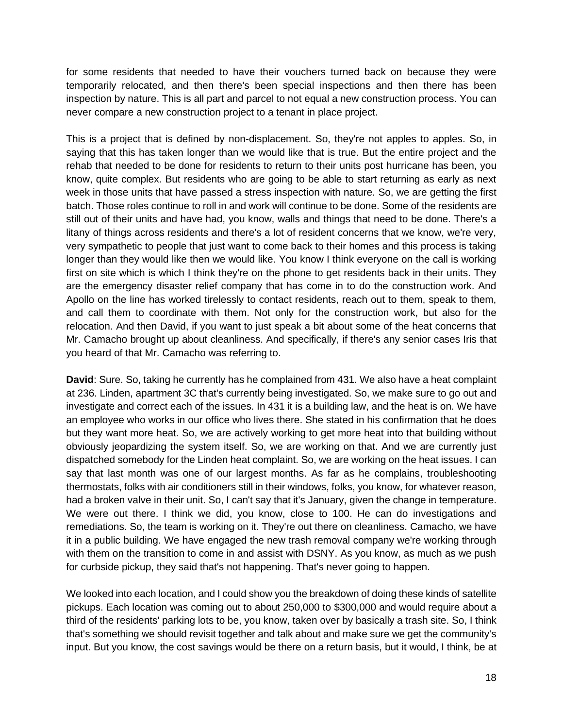for some residents that needed to have their vouchers turned back on because they were temporarily relocated, and then there's been special inspections and then there has been inspection by nature. This is all part and parcel to not equal a new construction process. You can never compare a new construction project to a tenant in place project.

This is a project that is defined by non-displacement. So, they're not apples to apples. So, in saying that this has taken longer than we would like that is true. But the entire project and the rehab that needed to be done for residents to return to their units post hurricane has been, you know, quite complex. But residents who are going to be able to start returning as early as next week in those units that have passed a stress inspection with nature. So, we are getting the first batch. Those roles continue to roll in and work will continue to be done. Some of the residents are still out of their units and have had, you know, walls and things that need to be done. There's a litany of things across residents and there's a lot of resident concerns that we know, we're very, very sympathetic to people that just want to come back to their homes and this process is taking longer than they would like then we would like. You know I think everyone on the call is working first on site which is which I think they're on the phone to get residents back in their units. They are the emergency disaster relief company that has come in to do the construction work. And Apollo on the line has worked tirelessly to contact residents, reach out to them, speak to them, and call them to coordinate with them. Not only for the construction work, but also for the relocation. And then David, if you want to just speak a bit about some of the heat concerns that Mr. Camacho brought up about cleanliness. And specifically, if there's any senior cases Iris that you heard of that Mr. Camacho was referring to.

**David**: Sure. So, taking he currently has he complained from 431. We also have a heat complaint at 236. Linden, apartment 3C that's currently being investigated. So, we make sure to go out and investigate and correct each of the issues. In 431 it is a building law, and the heat is on. We have an employee who works in our office who lives there. She stated in his confirmation that he does but they want more heat. So, we are actively working to get more heat into that building without obviously jeopardizing the system itself. So, we are working on that. And we are currently just dispatched somebody for the Linden heat complaint. So, we are working on the heat issues. I can say that last month was one of our largest months. As far as he complains, troubleshooting thermostats, folks with air conditioners still in their windows, folks, you know, for whatever reason, had a broken valve in their unit. So, I can't say that it's January, given the change in temperature. We were out there. I think we did, you know, close to 100. He can do investigations and remediations. So, the team is working on it. They're out there on cleanliness. Camacho, we have it in a public building. We have engaged the new trash removal company we're working through with them on the transition to come in and assist with DSNY. As you know, as much as we push for curbside pickup, they said that's not happening. That's never going to happen.

We looked into each location, and I could show you the breakdown of doing these kinds of satellite pickups. Each location was coming out to about 250,000 to \$300,000 and would require about a third of the residents' parking lots to be, you know, taken over by basically a trash site. So, I think that's something we should revisit together and talk about and make sure we get the community's input. But you know, the cost savings would be there on a return basis, but it would, I think, be at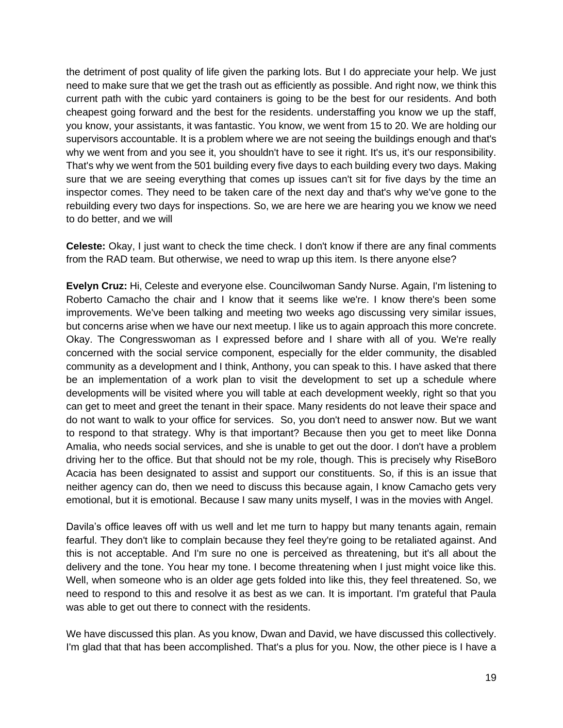the detriment of post quality of life given the parking lots. But I do appreciate your help. We just need to make sure that we get the trash out as efficiently as possible. And right now, we think this current path with the cubic yard containers is going to be the best for our residents. And both cheapest going forward and the best for the residents. understaffing you know we up the staff, you know, your assistants, it was fantastic. You know, we went from 15 to 20. We are holding our supervisors accountable. It is a problem where we are not seeing the buildings enough and that's why we went from and you see it, you shouldn't have to see it right. It's us, it's our responsibility. That's why we went from the 501 building every five days to each building every two days. Making sure that we are seeing everything that comes up issues can't sit for five days by the time an inspector comes. They need to be taken care of the next day and that's why we've gone to the rebuilding every two days for inspections. So, we are here we are hearing you we know we need to do better, and we will

**Celeste:** Okay, I just want to check the time check. I don't know if there are any final comments from the RAD team. But otherwise, we need to wrap up this item. Is there anyone else?

**Evelyn Cruz:** Hi, Celeste and everyone else. Councilwoman Sandy Nurse. Again, I'm listening to Roberto Camacho the chair and I know that it seems like we're. I know there's been some improvements. We've been talking and meeting two weeks ago discussing very similar issues, but concerns arise when we have our next meetup. I like us to again approach this more concrete. Okay. The Congresswoman as I expressed before and I share with all of you. We're really concerned with the social service component, especially for the elder community, the disabled community as a development and I think, Anthony, you can speak to this. I have asked that there be an implementation of a work plan to visit the development to set up a schedule where developments will be visited where you will table at each development weekly, right so that you can get to meet and greet the tenant in their space. Many residents do not leave their space and do not want to walk to your office for services. So, you don't need to answer now. But we want to respond to that strategy. Why is that important? Because then you get to meet like Donna Amalia, who needs social services, and she is unable to get out the door. I don't have a problem driving her to the office. But that should not be my role, though. This is precisely why RiseBoro Acacia has been designated to assist and support our constituents. So, if this is an issue that neither agency can do, then we need to discuss this because again, I know Camacho gets very emotional, but it is emotional. Because I saw many units myself, I was in the movies with Angel.

Davila's office leaves off with us well and let me turn to happy but many tenants again, remain fearful. They don't like to complain because they feel they're going to be retaliated against. And this is not acceptable. And I'm sure no one is perceived as threatening, but it's all about the delivery and the tone. You hear my tone. I become threatening when I just might voice like this. Well, when someone who is an older age gets folded into like this, they feel threatened. So, we need to respond to this and resolve it as best as we can. It is important. I'm grateful that Paula was able to get out there to connect with the residents.

We have discussed this plan. As you know, Dwan and David, we have discussed this collectively. I'm glad that that has been accomplished. That's a plus for you. Now, the other piece is I have a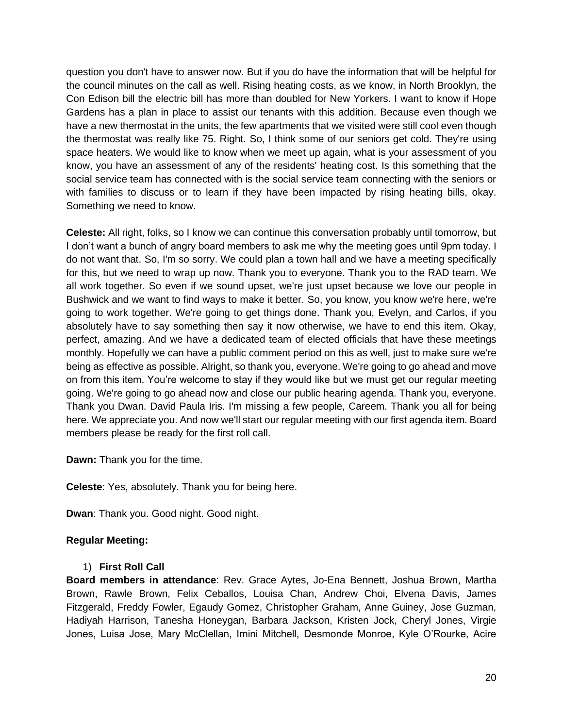question you don't have to answer now. But if you do have the information that will be helpful for the council minutes on the call as well. Rising heating costs, as we know, in North Brooklyn, the Con Edison bill the electric bill has more than doubled for New Yorkers. I want to know if Hope Gardens has a plan in place to assist our tenants with this addition. Because even though we have a new thermostat in the units, the few apartments that we visited were still cool even though the thermostat was really like 75. Right. So, I think some of our seniors get cold. They're using space heaters. We would like to know when we meet up again, what is your assessment of you know, you have an assessment of any of the residents' heating cost. Is this something that the social service team has connected with is the social service team connecting with the seniors or with families to discuss or to learn if they have been impacted by rising heating bills, okay. Something we need to know.

**Celeste:** All right, folks, so I know we can continue this conversation probably until tomorrow, but I don't want a bunch of angry board members to ask me why the meeting goes until 9pm today. I do not want that. So, I'm so sorry. We could plan a town hall and we have a meeting specifically for this, but we need to wrap up now. Thank you to everyone. Thank you to the RAD team. We all work together. So even if we sound upset, we're just upset because we love our people in Bushwick and we want to find ways to make it better. So, you know, you know we're here, we're going to work together. We're going to get things done. Thank you, Evelyn, and Carlos, if you absolutely have to say something then say it now otherwise, we have to end this item. Okay, perfect, amazing. And we have a dedicated team of elected officials that have these meetings monthly. Hopefully we can have a public comment period on this as well, just to make sure we're being as effective as possible. Alright, so thank you, everyone. We're going to go ahead and move on from this item. You're welcome to stay if they would like but we must get our regular meeting going. We're going to go ahead now and close our public hearing agenda. Thank you, everyone. Thank you Dwan. David Paula Iris. I'm missing a few people, Careem. Thank you all for being here. We appreciate you. And now we'll start our regular meeting with our first agenda item. Board members please be ready for the first roll call.

**Dawn:** Thank you for the time.

**Celeste**: Yes, absolutely. Thank you for being here.

**Dwan**: Thank you. Good night. Good night.

# **Regular Meeting:**

#### 1) **First Roll Call**

**Board members in attendance**: Rev. Grace Aytes, Jo-Ena Bennett, Joshua Brown, Martha Brown, Rawle Brown, Felix Ceballos, Louisa Chan, Andrew Choi, Elvena Davis, James Fitzgerald, Freddy Fowler, Egaudy Gomez, Christopher Graham, Anne Guiney, Jose Guzman, Hadiyah Harrison, Tanesha Honeygan, Barbara Jackson, Kristen Jock, Cheryl Jones, Virgie Jones, Luisa Jose, Mary McClellan, Imini Mitchell, Desmonde Monroe, Kyle O'Rourke, Acire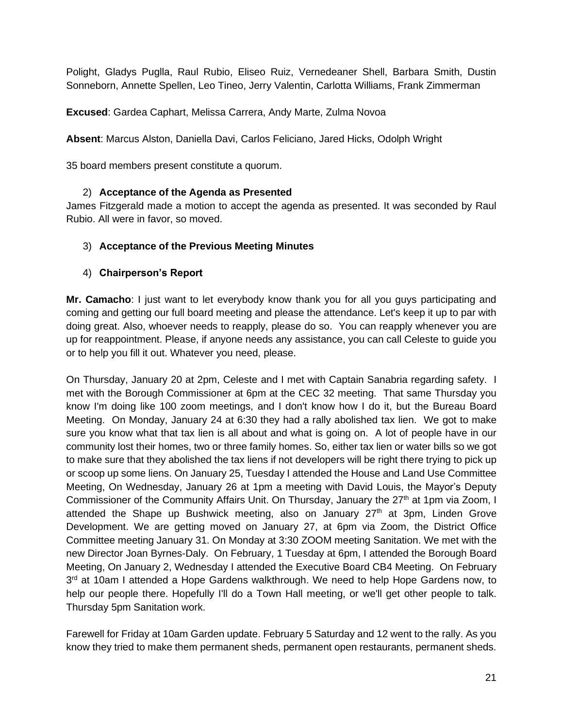Polight, Gladys Puglla, Raul Rubio, Eliseo Ruiz, Vernedeaner Shell, Barbara Smith, Dustin Sonneborn, Annette Spellen, Leo Tineo, Jerry Valentin, Carlotta Williams, Frank Zimmerman

**Excused**: Gardea Caphart, Melissa Carrera, Andy Marte, Zulma Novoa

**Absent**: Marcus Alston, Daniella Davi, Carlos Feliciano, Jared Hicks, Odolph Wright

35 board members present constitute a quorum.

#### 2) **Acceptance of the Agenda as Presented**

James Fitzgerald made a motion to accept the agenda as presented. It was seconded by Raul Rubio. All were in favor, so moved.

#### 3) **Acceptance of the Previous Meeting Minutes**

#### 4) **Chairperson's Report**

**Mr. Camacho**: I just want to let everybody know thank you for all you guys participating and coming and getting our full board meeting and please the attendance. Let's keep it up to par with doing great. Also, whoever needs to reapply, please do so. You can reapply whenever you are up for reappointment. Please, if anyone needs any assistance, you can call Celeste to guide you or to help you fill it out. Whatever you need, please.

On Thursday, January 20 at 2pm, Celeste and I met with Captain Sanabria regarding safety. I met with the Borough Commissioner at 6pm at the CEC 32 meeting. That same Thursday you know I'm doing like 100 zoom meetings, and I don't know how I do it, but the Bureau Board Meeting. On Monday, January 24 at 6:30 they had a rally abolished tax lien. We got to make sure you know what that tax lien is all about and what is going on. A lot of people have in our community lost their homes, two or three family homes. So, either tax lien or water bills so we got to make sure that they abolished the tax liens if not developers will be right there trying to pick up or scoop up some liens. On January 25, Tuesday I attended the House and Land Use Committee Meeting, On Wednesday, January 26 at 1pm a meeting with David Louis, the Mayor's Deputy Commissioner of the Community Affairs Unit. On Thursday, January the 27<sup>th</sup> at 1pm via Zoom, I attended the Shape up Bushwick meeting, also on January  $27<sup>th</sup>$  at 3pm, Linden Grove Development. We are getting moved on January 27, at 6pm via Zoom, the District Office Committee meeting January 31. On Monday at 3:30 ZOOM meeting Sanitation. We met with the new Director Joan Byrnes-Daly. On February, 1 Tuesday at 6pm, I attended the Borough Board Meeting, On January 2, Wednesday I attended the Executive Board CB4 Meeting. On February 3<sup>rd</sup> at 10am I attended a Hope Gardens walkthrough. We need to help Hope Gardens now, to help our people there. Hopefully I'll do a Town Hall meeting, or we'll get other people to talk. Thursday 5pm Sanitation work.

Farewell for Friday at 10am Garden update. February 5 Saturday and 12 went to the rally. As you know they tried to make them permanent sheds, permanent open restaurants, permanent sheds.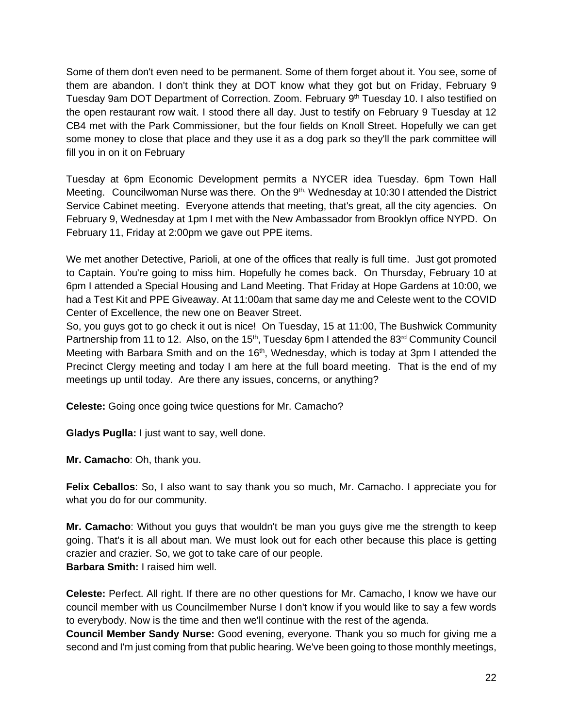Some of them don't even need to be permanent. Some of them forget about it. You see, some of them are abandon. I don't think they at DOT know what they got but on Friday, February 9 Tuesday 9am DOT Department of Correction. Zoom. February 9<sup>th</sup> Tuesday 10. I also testified on the open restaurant row wait. I stood there all day. Just to testify on February 9 Tuesday at 12 CB4 met with the Park Commissioner, but the four fields on Knoll Street. Hopefully we can get some money to close that place and they use it as a dog park so they'll the park committee will fill you in on it on February

Tuesday at 6pm Economic Development permits a NYCER idea Tuesday. 6pm Town Hall Meeting. Councilwoman Nurse was there. On the 9<sup>th,</sup> Wednesday at 10:30 I attended the District Service Cabinet meeting. Everyone attends that meeting, that's great, all the city agencies. On February 9, Wednesday at 1pm I met with the New Ambassador from Brooklyn office NYPD. On February 11, Friday at 2:00pm we gave out PPE items.

We met another Detective, Parioli, at one of the offices that really is full time. Just got promoted to Captain. You're going to miss him. Hopefully he comes back. On Thursday, February 10 at 6pm I attended a Special Housing and Land Meeting. That Friday at Hope Gardens at 10:00, we had a Test Kit and PPE Giveaway. At 11:00am that same day me and Celeste went to the COVID Center of Excellence, the new one on Beaver Street.

So, you guys got to go check it out is nice! On Tuesday, 15 at 11:00, The Bushwick Community Partnership from 11 to 12. Also, on the 15<sup>th</sup>, Tuesday 6pm I attended the 83<sup>rd</sup> Community Council Meeting with Barbara Smith and on the 16<sup>th</sup>, Wednesday, which is today at 3pm I attended the Precinct Clergy meeting and today I am here at the full board meeting. That is the end of my meetings up until today. Are there any issues, concerns, or anything?

**Celeste:** Going once going twice questions for Mr. Camacho?

**Gladys Puglla:** I just want to say, well done.

**Mr. Camacho**: Oh, thank you.

**Felix Ceballos**: So, I also want to say thank you so much, Mr. Camacho. I appreciate you for what you do for our community.

**Mr. Camacho**: Without you guys that wouldn't be man you guys give me the strength to keep going. That's it is all about man. We must look out for each other because this place is getting crazier and crazier. So, we got to take care of our people. **Barbara Smith:** I raised him well.

**Celeste:** Perfect. All right. If there are no other questions for Mr. Camacho, I know we have our council member with us Councilmember Nurse I don't know if you would like to say a few words to everybody. Now is the time and then we'll continue with the rest of the agenda.

**Council Member Sandy Nurse:** Good evening, everyone. Thank you so much for giving me a second and I'm just coming from that public hearing. We've been going to those monthly meetings,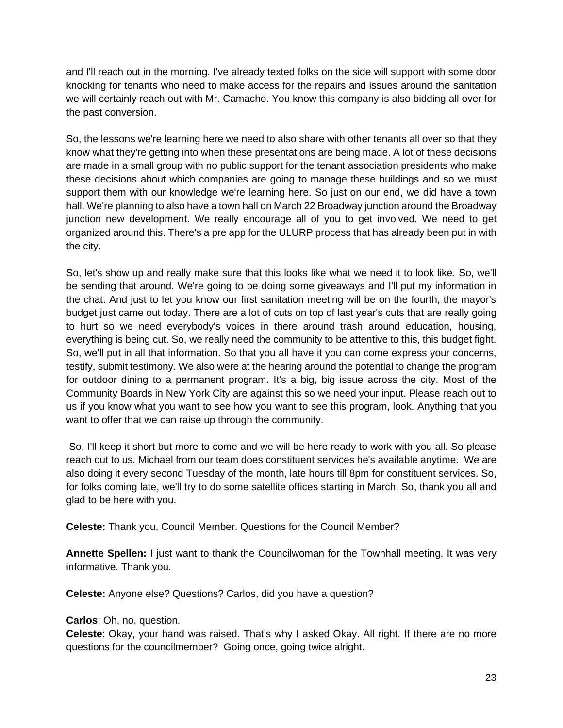and I'll reach out in the morning. I've already texted folks on the side will support with some door knocking for tenants who need to make access for the repairs and issues around the sanitation we will certainly reach out with Mr. Camacho. You know this company is also bidding all over for the past conversion.

So, the lessons we're learning here we need to also share with other tenants all over so that they know what they're getting into when these presentations are being made. A lot of these decisions are made in a small group with no public support for the tenant association presidents who make these decisions about which companies are going to manage these buildings and so we must support them with our knowledge we're learning here. So just on our end, we did have a town hall. We're planning to also have a town hall on March 22 Broadway junction around the Broadway junction new development. We really encourage all of you to get involved. We need to get organized around this. There's a pre app for the ULURP process that has already been put in with the city.

So, let's show up and really make sure that this looks like what we need it to look like. So, we'll be sending that around. We're going to be doing some giveaways and I'll put my information in the chat. And just to let you know our first sanitation meeting will be on the fourth, the mayor's budget just came out today. There are a lot of cuts on top of last year's cuts that are really going to hurt so we need everybody's voices in there around trash around education, housing, everything is being cut. So, we really need the community to be attentive to this, this budget fight. So, we'll put in all that information. So that you all have it you can come express your concerns, testify, submit testimony. We also were at the hearing around the potential to change the program for outdoor dining to a permanent program. It's a big, big issue across the city. Most of the Community Boards in New York City are against this so we need your input. Please reach out to us if you know what you want to see how you want to see this program, look. Anything that you want to offer that we can raise up through the community.

So, I'll keep it short but more to come and we will be here ready to work with you all. So please reach out to us. Michael from our team does constituent services he's available anytime. We are also doing it every second Tuesday of the month, late hours till 8pm for constituent services. So, for folks coming late, we'll try to do some satellite offices starting in March. So, thank you all and glad to be here with you.

**Celeste:** Thank you, Council Member. Questions for the Council Member?

**Annette Spellen:** I just want to thank the Councilwoman for the Townhall meeting. It was very informative. Thank you.

**Celeste:** Anyone else? Questions? Carlos, did you have a question?

#### **Carlos**: Oh, no, question.

**Celeste**: Okay, your hand was raised. That's why I asked Okay. All right. If there are no more questions for the councilmember? Going once, going twice alright.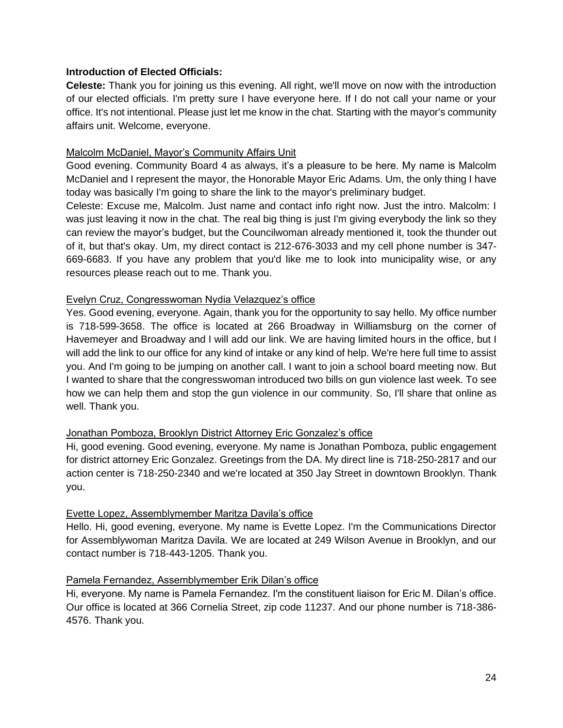#### **Introduction of Elected Officials:**

**Celeste:** Thank you for joining us this evening. All right, we'll move on now with the introduction of our elected officials. I'm pretty sure I have everyone here. If I do not call your name or your office. It's not intentional. Please just let me know in the chat. Starting with the mayor's community affairs unit. Welcome, everyone.

### Malcolm McDaniel, Mayor's Community Affairs Unit

Good evening. Community Board 4 as always, it's a pleasure to be here. My name is Malcolm McDaniel and I represent the mayor, the Honorable Mayor Eric Adams. Um, the only thing I have today was basically I'm going to share the link to the mayor's preliminary budget.

Celeste: Excuse me, Malcolm. Just name and contact info right now. Just the intro. Malcolm: I was just leaving it now in the chat. The real big thing is just I'm giving everybody the link so they can review the mayor's budget, but the Councilwoman already mentioned it, took the thunder out of it, but that's okay. Um, my direct contact is 212-676-3033 and my cell phone number is 347- 669-6683. If you have any problem that you'd like me to look into municipality wise, or any resources please reach out to me. Thank you.

## Evelyn Cruz, Congresswoman Nydia Velazquez's office

Yes. Good evening, everyone. Again, thank you for the opportunity to say hello. My office number is 718-599-3658. The office is located at 266 Broadway in Williamsburg on the corner of Havemeyer and Broadway and I will add our link. We are having limited hours in the office, but I will add the link to our office for any kind of intake or any kind of help. We're here full time to assist you. And I'm going to be jumping on another call. I want to join a school board meeting now. But I wanted to share that the congresswoman introduced two bills on gun violence last week. To see how we can help them and stop the gun violence in our community. So, I'll share that online as well. Thank you.

# Jonathan Pomboza, Brooklyn District Attorney Eric Gonzalez's office

Hi, good evening. Good evening, everyone. My name is Jonathan Pomboza, public engagement for district attorney Eric Gonzalez. Greetings from the DA. My direct line is 718-250-2817 and our action center is 718-250-2340 and we're located at 350 Jay Street in downtown Brooklyn. Thank you.

#### Evette Lopez, Assemblymember Maritza Davila's office

Hello. Hi, good evening, everyone. My name is Evette Lopez. I'm the Communications Director for Assemblywoman Maritza Davila. We are located at 249 Wilson Avenue in Brooklyn, and our contact number is 718-443-1205. Thank you.

#### Pamela Fernandez, Assemblymember Erik Dilan's office

Hi, everyone. My name is Pamela Fernandez. I'm the constituent liaison for Eric M. Dilan's office. Our office is located at 366 Cornelia Street, zip code 11237. And our phone number is 718-386- 4576. Thank you.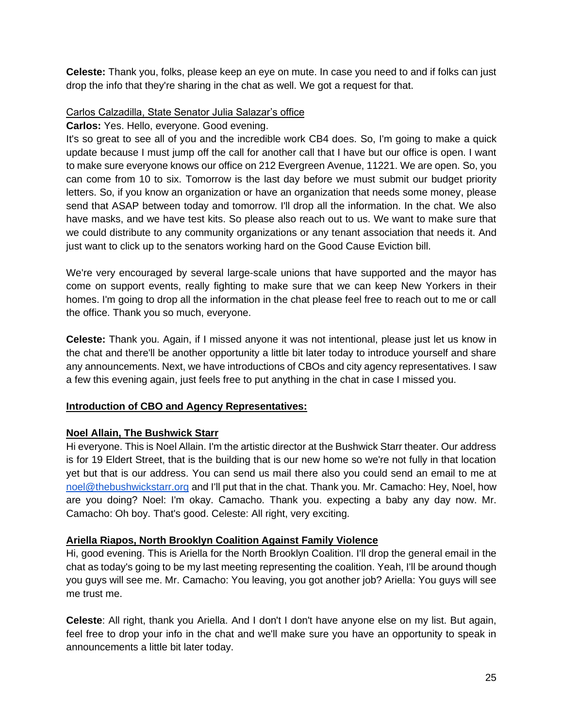**Celeste:** Thank you, folks, please keep an eye on mute. In case you need to and if folks can just drop the info that they're sharing in the chat as well. We got a request for that.

### Carlos Calzadilla, State Senator Julia Salazar's office

### **Carlos:** Yes. Hello, everyone. Good evening.

It's so great to see all of you and the incredible work CB4 does. So, I'm going to make a quick update because I must jump off the call for another call that I have but our office is open. I want to make sure everyone knows our office on 212 Evergreen Avenue, 11221. We are open. So, you can come from 10 to six. Tomorrow is the last day before we must submit our budget priority letters. So, if you know an organization or have an organization that needs some money, please send that ASAP between today and tomorrow. I'll drop all the information. In the chat. We also have masks, and we have test kits. So please also reach out to us. We want to make sure that we could distribute to any community organizations or any tenant association that needs it. And just want to click up to the senators working hard on the Good Cause Eviction bill.

We're very encouraged by several large-scale unions that have supported and the mayor has come on support events, really fighting to make sure that we can keep New Yorkers in their homes. I'm going to drop all the information in the chat please feel free to reach out to me or call the office. Thank you so much, everyone.

**Celeste:** Thank you. Again, if I missed anyone it was not intentional, please just let us know in the chat and there'll be another opportunity a little bit later today to introduce yourself and share any announcements. Next, we have introductions of CBOs and city agency representatives. I saw a few this evening again, just feels free to put anything in the chat in case I missed you.

# **Introduction of CBO and Agency Representatives:**

#### **Noel Allain, The Bushwick Starr**

Hi everyone. This is Noel Allain. I'm the artistic director at the Bushwick Starr theater. Our address is for 19 Eldert Street, that is the building that is our new home so we're not fully in that location yet but that is our address. You can send us mail there also you could send an email to me at [noel@thebushwickstarr.org](mailto:noel@thebushwickstarr.org) and I'll put that in the chat. Thank you. Mr. Camacho: Hey, Noel, how are you doing? Noel: I'm okay. Camacho. Thank you. expecting a baby any day now. Mr. Camacho: Oh boy. That's good. Celeste: All right, very exciting.

#### **Ariella Riapos, North Brooklyn Coalition Against Family Violence**

Hi, good evening. This is Ariella for the North Brooklyn Coalition. I'll drop the general email in the chat as today's going to be my last meeting representing the coalition. Yeah, I'll be around though you guys will see me. Mr. Camacho: You leaving, you got another job? Ariella: You guys will see me trust me.

**Celeste**: All right, thank you Ariella. And I don't I don't have anyone else on my list. But again, feel free to drop your info in the chat and we'll make sure you have an opportunity to speak in announcements a little bit later today.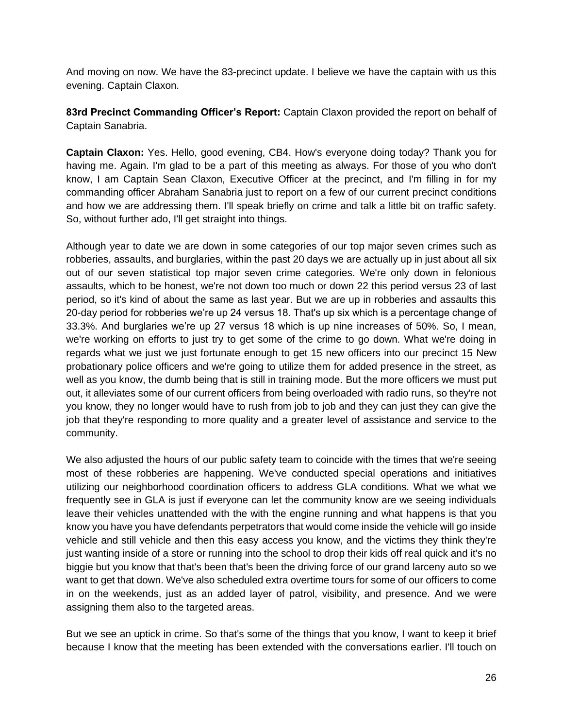And moving on now. We have the 83-precinct update. I believe we have the captain with us this evening. Captain Claxon.

**83rd Precinct Commanding Officer's Report:** Captain Claxon provided the report on behalf of Captain Sanabria.

**Captain Claxon:** Yes. Hello, good evening, CB4. How's everyone doing today? Thank you for having me. Again. I'm glad to be a part of this meeting as always. For those of you who don't know, I am Captain Sean Claxon, Executive Officer at the precinct, and I'm filling in for my commanding officer Abraham Sanabria just to report on a few of our current precinct conditions and how we are addressing them. I'll speak briefly on crime and talk a little bit on traffic safety. So, without further ado, I'll get straight into things.

Although year to date we are down in some categories of our top major seven crimes such as robberies, assaults, and burglaries, within the past 20 days we are actually up in just about all six out of our seven statistical top major seven crime categories. We're only down in felonious assaults, which to be honest, we're not down too much or down 22 this period versus 23 of last period, so it's kind of about the same as last year. But we are up in robberies and assaults this 20-day period for robberies we're up 24 versus 18. That's up six which is a percentage change of 33.3%. And burglaries we're up 27 versus 18 which is up nine increases of 50%. So, I mean, we're working on efforts to just try to get some of the crime to go down. What we're doing in regards what we just we just fortunate enough to get 15 new officers into our precinct 15 New probationary police officers and we're going to utilize them for added presence in the street, as well as you know, the dumb being that is still in training mode. But the more officers we must put out, it alleviates some of our current officers from being overloaded with radio runs, so they're not you know, they no longer would have to rush from job to job and they can just they can give the job that they're responding to more quality and a greater level of assistance and service to the community.

We also adjusted the hours of our public safety team to coincide with the times that we're seeing most of these robberies are happening. We've conducted special operations and initiatives utilizing our neighborhood coordination officers to address GLA conditions. What we what we frequently see in GLA is just if everyone can let the community know are we seeing individuals leave their vehicles unattended with the with the engine running and what happens is that you know you have you have defendants perpetrators that would come inside the vehicle will go inside vehicle and still vehicle and then this easy access you know, and the victims they think they're just wanting inside of a store or running into the school to drop their kids off real quick and it's no biggie but you know that that's been that's been the driving force of our grand larceny auto so we want to get that down. We've also scheduled extra overtime tours for some of our officers to come in on the weekends, just as an added layer of patrol, visibility, and presence. And we were assigning them also to the targeted areas.

But we see an uptick in crime. So that's some of the things that you know, I want to keep it brief because I know that the meeting has been extended with the conversations earlier. I'll touch on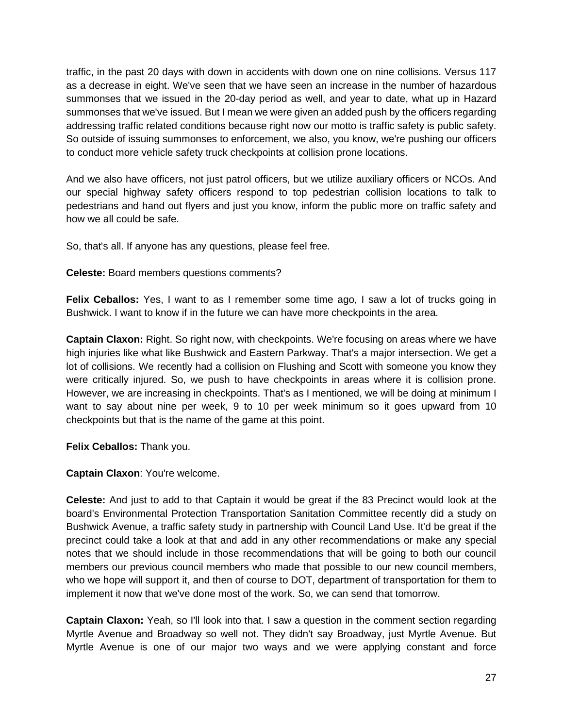traffic, in the past 20 days with down in accidents with down one on nine collisions. Versus 117 as a decrease in eight. We've seen that we have seen an increase in the number of hazardous summonses that we issued in the 20-day period as well, and year to date, what up in Hazard summonses that we've issued. But I mean we were given an added push by the officers regarding addressing traffic related conditions because right now our motto is traffic safety is public safety. So outside of issuing summonses to enforcement, we also, you know, we're pushing our officers to conduct more vehicle safety truck checkpoints at collision prone locations.

And we also have officers, not just patrol officers, but we utilize auxiliary officers or NCOs. And our special highway safety officers respond to top pedestrian collision locations to talk to pedestrians and hand out flyers and just you know, inform the public more on traffic safety and how we all could be safe.

So, that's all. If anyone has any questions, please feel free.

**Celeste:** Board members questions comments?

**Felix Ceballos:** Yes, I want to as I remember some time ago, I saw a lot of trucks going in Bushwick. I want to know if in the future we can have more checkpoints in the area.

**Captain Claxon:** Right. So right now, with checkpoints. We're focusing on areas where we have high injuries like what like Bushwick and Eastern Parkway. That's a major intersection. We get a lot of collisions. We recently had a collision on Flushing and Scott with someone you know they were critically injured. So, we push to have checkpoints in areas where it is collision prone. However, we are increasing in checkpoints. That's as I mentioned, we will be doing at minimum I want to say about nine per week, 9 to 10 per week minimum so it goes upward from 10 checkpoints but that is the name of the game at this point.

**Felix Ceballos:** Thank you.

**Captain Claxon**: You're welcome.

**Celeste:** And just to add to that Captain it would be great if the 83 Precinct would look at the board's Environmental Protection Transportation Sanitation Committee recently did a study on Bushwick Avenue, a traffic safety study in partnership with Council Land Use. It'd be great if the precinct could take a look at that and add in any other recommendations or make any special notes that we should include in those recommendations that will be going to both our council members our previous council members who made that possible to our new council members, who we hope will support it, and then of course to DOT, department of transportation for them to implement it now that we've done most of the work. So, we can send that tomorrow.

**Captain Claxon:** Yeah, so I'll look into that. I saw a question in the comment section regarding Myrtle Avenue and Broadway so well not. They didn't say Broadway, just Myrtle Avenue. But Myrtle Avenue is one of our major two ways and we were applying constant and force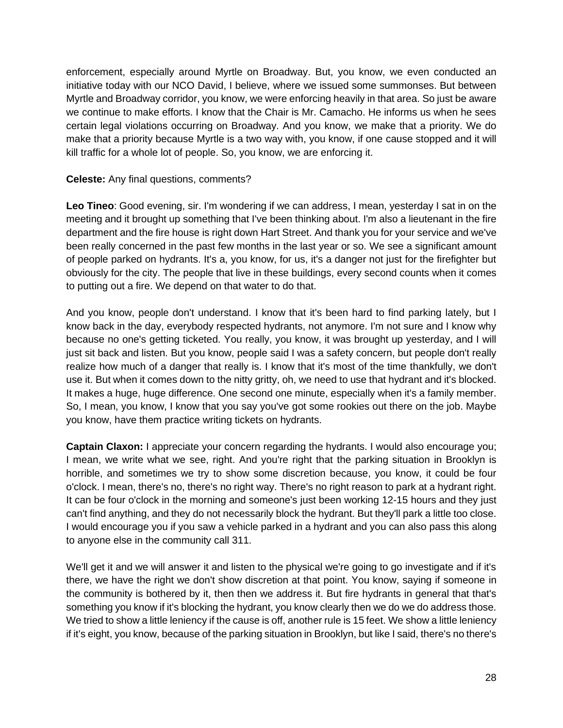enforcement, especially around Myrtle on Broadway. But, you know, we even conducted an initiative today with our NCO David, I believe, where we issued some summonses. But between Myrtle and Broadway corridor, you know, we were enforcing heavily in that area. So just be aware we continue to make efforts. I know that the Chair is Mr. Camacho. He informs us when he sees certain legal violations occurring on Broadway. And you know, we make that a priority. We do make that a priority because Myrtle is a two way with, you know, if one cause stopped and it will kill traffic for a whole lot of people. So, you know, we are enforcing it.

### **Celeste:** Any final questions, comments?

**Leo Tineo**: Good evening, sir. I'm wondering if we can address, I mean, yesterday I sat in on the meeting and it brought up something that I've been thinking about. I'm also a lieutenant in the fire department and the fire house is right down Hart Street. And thank you for your service and we've been really concerned in the past few months in the last year or so. We see a significant amount of people parked on hydrants. It's a, you know, for us, it's a danger not just for the firefighter but obviously for the city. The people that live in these buildings, every second counts when it comes to putting out a fire. We depend on that water to do that.

And you know, people don't understand. I know that it's been hard to find parking lately, but I know back in the day, everybody respected hydrants, not anymore. I'm not sure and I know why because no one's getting ticketed. You really, you know, it was brought up yesterday, and I will just sit back and listen. But you know, people said I was a safety concern, but people don't really realize how much of a danger that really is. I know that it's most of the time thankfully, we don't use it. But when it comes down to the nitty gritty, oh, we need to use that hydrant and it's blocked. It makes a huge, huge difference. One second one minute, especially when it's a family member. So, I mean, you know, I know that you say you've got some rookies out there on the job. Maybe you know, have them practice writing tickets on hydrants.

**Captain Claxon:** I appreciate your concern regarding the hydrants. I would also encourage you; I mean, we write what we see, right. And you're right that the parking situation in Brooklyn is horrible, and sometimes we try to show some discretion because, you know, it could be four o'clock. I mean, there's no, there's no right way. There's no right reason to park at a hydrant right. It can be four o'clock in the morning and someone's just been working 12-15 hours and they just can't find anything, and they do not necessarily block the hydrant. But they'll park a little too close. I would encourage you if you saw a vehicle parked in a hydrant and you can also pass this along to anyone else in the community call 311.

We'll get it and we will answer it and listen to the physical we're going to go investigate and if it's there, we have the right we don't show discretion at that point. You know, saying if someone in the community is bothered by it, then then we address it. But fire hydrants in general that that's something you know if it's blocking the hydrant, you know clearly then we do we do address those. We tried to show a little leniency if the cause is off, another rule is 15 feet. We show a little leniency if it's eight, you know, because of the parking situation in Brooklyn, but like I said, there's no there's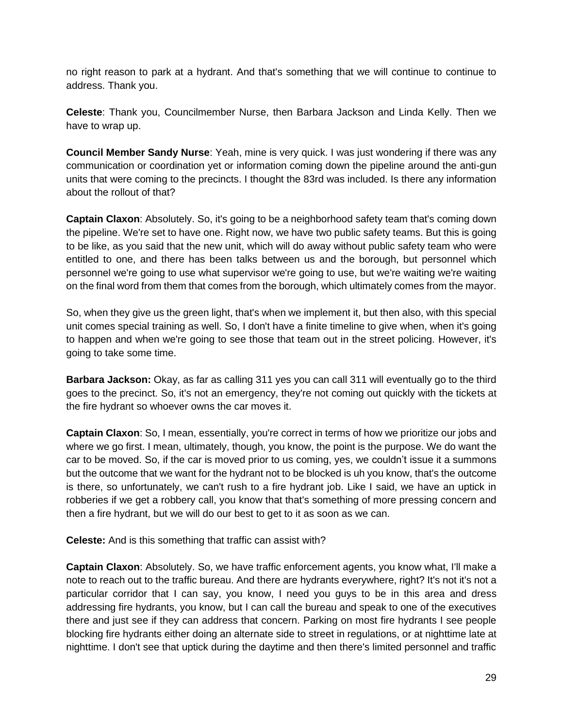no right reason to park at a hydrant. And that's something that we will continue to continue to address. Thank you.

**Celeste**: Thank you, Councilmember Nurse, then Barbara Jackson and Linda Kelly. Then we have to wrap up.

**Council Member Sandy Nurse**: Yeah, mine is very quick. I was just wondering if there was any communication or coordination yet or information coming down the pipeline around the anti-gun units that were coming to the precincts. I thought the 83rd was included. Is there any information about the rollout of that?

**Captain Claxon**: Absolutely. So, it's going to be a neighborhood safety team that's coming down the pipeline. We're set to have one. Right now, we have two public safety teams. But this is going to be like, as you said that the new unit, which will do away without public safety team who were entitled to one, and there has been talks between us and the borough, but personnel which personnel we're going to use what supervisor we're going to use, but we're waiting we're waiting on the final word from them that comes from the borough, which ultimately comes from the mayor.

So, when they give us the green light, that's when we implement it, but then also, with this special unit comes special training as well. So, I don't have a finite timeline to give when, when it's going to happen and when we're going to see those that team out in the street policing. However, it's going to take some time.

**Barbara Jackson:** Okay, as far as calling 311 yes you can call 311 will eventually go to the third goes to the precinct. So, it's not an emergency, they're not coming out quickly with the tickets at the fire hydrant so whoever owns the car moves it.

**Captain Claxon**: So, I mean, essentially, you're correct in terms of how we prioritize our jobs and where we go first. I mean, ultimately, though, you know, the point is the purpose. We do want the car to be moved. So, if the car is moved prior to us coming, yes, we couldn't issue it a summons but the outcome that we want for the hydrant not to be blocked is uh you know, that's the outcome is there, so unfortunately, we can't rush to a fire hydrant job. Like I said, we have an uptick in robberies if we get a robbery call, you know that that's something of more pressing concern and then a fire hydrant, but we will do our best to get to it as soon as we can.

**Celeste:** And is this something that traffic can assist with?

**Captain Claxon**: Absolutely. So, we have traffic enforcement agents, you know what, I'll make a note to reach out to the traffic bureau. And there are hydrants everywhere, right? It's not it's not a particular corridor that I can say, you know, I need you guys to be in this area and dress addressing fire hydrants, you know, but I can call the bureau and speak to one of the executives there and just see if they can address that concern. Parking on most fire hydrants I see people blocking fire hydrants either doing an alternate side to street in regulations, or at nighttime late at nighttime. I don't see that uptick during the daytime and then there's limited personnel and traffic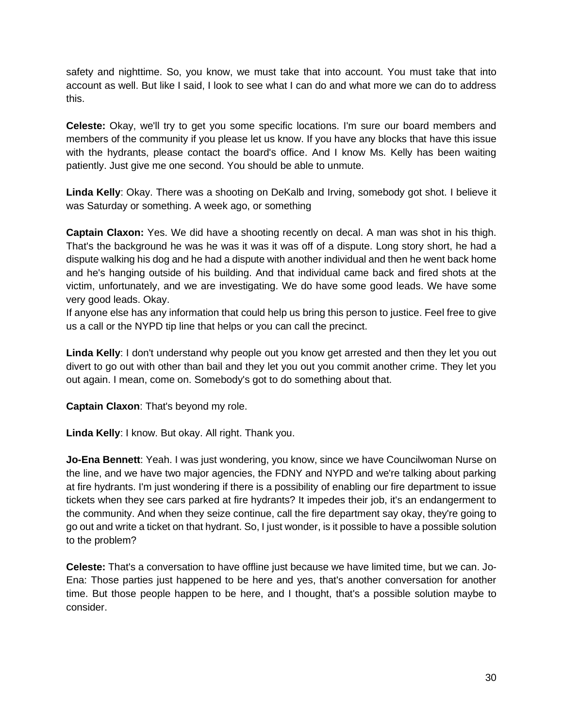safety and nighttime. So, you know, we must take that into account. You must take that into account as well. But like I said, I look to see what I can do and what more we can do to address this.

**Celeste:** Okay, we'll try to get you some specific locations. I'm sure our board members and members of the community if you please let us know. If you have any blocks that have this issue with the hydrants, please contact the board's office. And I know Ms. Kelly has been waiting patiently. Just give me one second. You should be able to unmute.

**Linda Kelly**: Okay. There was a shooting on DeKalb and Irving, somebody got shot. I believe it was Saturday or something. A week ago, or something

**Captain Claxon:** Yes. We did have a shooting recently on decal. A man was shot in his thigh. That's the background he was he was it was it was off of a dispute. Long story short, he had a dispute walking his dog and he had a dispute with another individual and then he went back home and he's hanging outside of his building. And that individual came back and fired shots at the victim, unfortunately, and we are investigating. We do have some good leads. We have some very good leads. Okay.

If anyone else has any information that could help us bring this person to justice. Feel free to give us a call or the NYPD tip line that helps or you can call the precinct.

**Linda Kelly**: I don't understand why people out you know get arrested and then they let you out divert to go out with other than bail and they let you out you commit another crime. They let you out again. I mean, come on. Somebody's got to do something about that.

**Captain Claxon**: That's beyond my role.

**Linda Kelly**: I know. But okay. All right. Thank you.

**Jo-Ena Bennett**: Yeah. I was just wondering, you know, since we have Councilwoman Nurse on the line, and we have two major agencies, the FDNY and NYPD and we're talking about parking at fire hydrants. I'm just wondering if there is a possibility of enabling our fire department to issue tickets when they see cars parked at fire hydrants? It impedes their job, it's an endangerment to the community. And when they seize continue, call the fire department say okay, they're going to go out and write a ticket on that hydrant. So, I just wonder, is it possible to have a possible solution to the problem?

**Celeste:** That's a conversation to have offline just because we have limited time, but we can. Jo-Ena: Those parties just happened to be here and yes, that's another conversation for another time. But those people happen to be here, and I thought, that's a possible solution maybe to consider.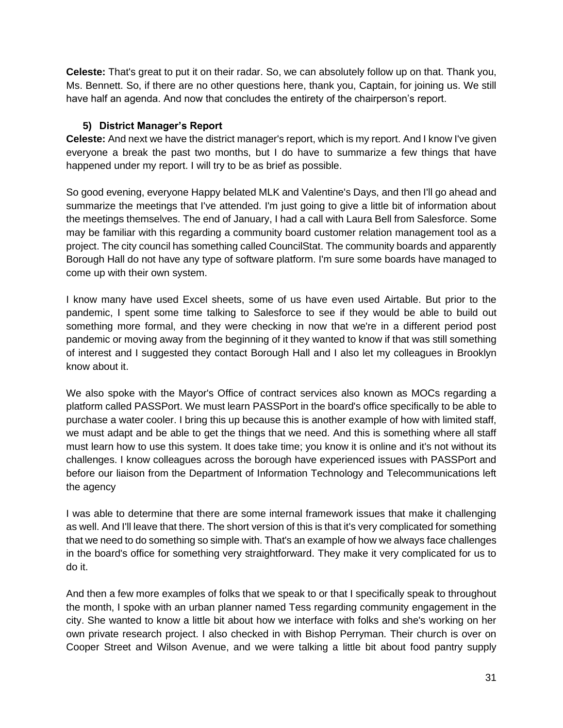**Celeste:** That's great to put it on their radar. So, we can absolutely follow up on that. Thank you, Ms. Bennett. So, if there are no other questions here, thank you, Captain, for joining us. We still have half an agenda. And now that concludes the entirety of the chairperson's report.

# **5) District Manager's Report**

**Celeste:** And next we have the district manager's report, which is my report. And I know I've given everyone a break the past two months, but I do have to summarize a few things that have happened under my report. I will try to be as brief as possible.

So good evening, everyone Happy belated MLK and Valentine's Days, and then I'll go ahead and summarize the meetings that I've attended. I'm just going to give a little bit of information about the meetings themselves. The end of January, I had a call with Laura Bell from Salesforce. Some may be familiar with this regarding a community board customer relation management tool as a project. The city council has something called CouncilStat. The community boards and apparently Borough Hall do not have any type of software platform. I'm sure some boards have managed to come up with their own system.

I know many have used Excel sheets, some of us have even used Airtable. But prior to the pandemic, I spent some time talking to Salesforce to see if they would be able to build out something more formal, and they were checking in now that we're in a different period post pandemic or moving away from the beginning of it they wanted to know if that was still something of interest and I suggested they contact Borough Hall and I also let my colleagues in Brooklyn know about it.

We also spoke with the Mayor's Office of contract services also known as MOCs regarding a platform called PASSPort. We must learn PASSPort in the board's office specifically to be able to purchase a water cooler. I bring this up because this is another example of how with limited staff, we must adapt and be able to get the things that we need. And this is something where all staff must learn how to use this system. It does take time; you know it is online and it's not without its challenges. I know colleagues across the borough have experienced issues with PASSPort and before our liaison from the Department of Information Technology and Telecommunications left the agency

I was able to determine that there are some internal framework issues that make it challenging as well. And I'll leave that there. The short version of this is that it's very complicated for something that we need to do something so simple with. That's an example of how we always face challenges in the board's office for something very straightforward. They make it very complicated for us to do it.

And then a few more examples of folks that we speak to or that I specifically speak to throughout the month, I spoke with an urban planner named Tess regarding community engagement in the city. She wanted to know a little bit about how we interface with folks and she's working on her own private research project. I also checked in with Bishop Perryman. Their church is over on Cooper Street and Wilson Avenue, and we were talking a little bit about food pantry supply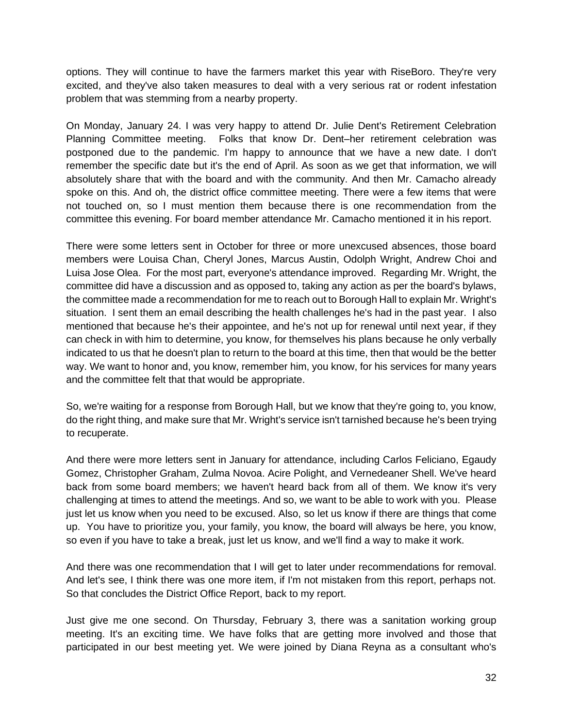options. They will continue to have the farmers market this year with RiseBoro. They're very excited, and they've also taken measures to deal with a very serious rat or rodent infestation problem that was stemming from a nearby property.

On Monday, January 24. I was very happy to attend Dr. Julie Dent's Retirement Celebration Planning Committee meeting. Folks that know Dr. Dent–her retirement celebration was postponed due to the pandemic. I'm happy to announce that we have a new date. I don't remember the specific date but it's the end of April. As soon as we get that information, we will absolutely share that with the board and with the community. And then Mr. Camacho already spoke on this. And oh, the district office committee meeting. There were a few items that were not touched on, so I must mention them because there is one recommendation from the committee this evening. For board member attendance Mr. Camacho mentioned it in his report.

There were some letters sent in October for three or more unexcused absences, those board members were Louisa Chan, Cheryl Jones, Marcus Austin, Odolph Wright, Andrew Choi and Luisa Jose Olea. For the most part, everyone's attendance improved. Regarding Mr. Wright, the committee did have a discussion and as opposed to, taking any action as per the board's bylaws, the committee made a recommendation for me to reach out to Borough Hall to explain Mr. Wright's situation. I sent them an email describing the health challenges he's had in the past year. I also mentioned that because he's their appointee, and he's not up for renewal until next year, if they can check in with him to determine, you know, for themselves his plans because he only verbally indicated to us that he doesn't plan to return to the board at this time, then that would be the better way. We want to honor and, you know, remember him, you know, for his services for many years and the committee felt that that would be appropriate.

So, we're waiting for a response from Borough Hall, but we know that they're going to, you know, do the right thing, and make sure that Mr. Wright's service isn't tarnished because he's been trying to recuperate.

And there were more letters sent in January for attendance, including Carlos Feliciano, Egaudy Gomez, Christopher Graham, Zulma Novoa. Acire Polight, and Vernedeaner Shell. We've heard back from some board members; we haven't heard back from all of them. We know it's very challenging at times to attend the meetings. And so, we want to be able to work with you. Please just let us know when you need to be excused. Also, so let us know if there are things that come up. You have to prioritize you, your family, you know, the board will always be here, you know, so even if you have to take a break, just let us know, and we'll find a way to make it work.

And there was one recommendation that I will get to later under recommendations for removal. And let's see, I think there was one more item, if I'm not mistaken from this report, perhaps not. So that concludes the District Office Report, back to my report.

Just give me one second. On Thursday, February 3, there was a sanitation working group meeting. It's an exciting time. We have folks that are getting more involved and those that participated in our best meeting yet. We were joined by Diana Reyna as a consultant who's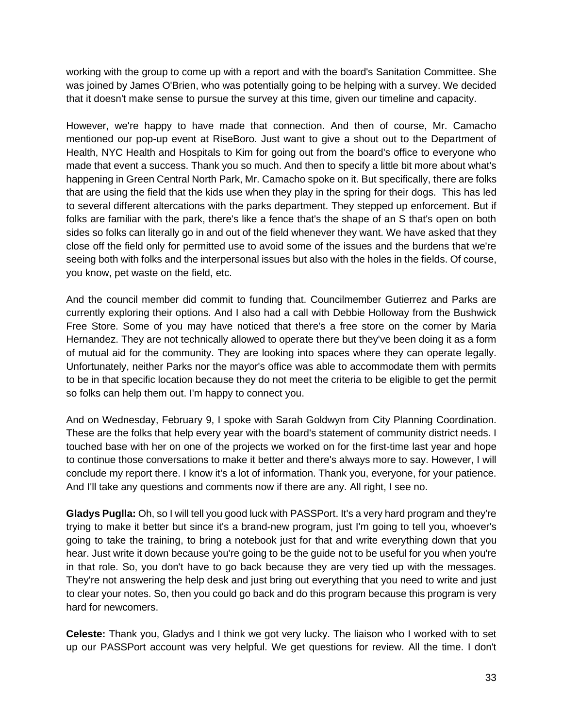working with the group to come up with a report and with the board's Sanitation Committee. She was joined by James O'Brien, who was potentially going to be helping with a survey. We decided that it doesn't make sense to pursue the survey at this time, given our timeline and capacity.

However, we're happy to have made that connection. And then of course, Mr. Camacho mentioned our pop-up event at RiseBoro. Just want to give a shout out to the Department of Health, NYC Health and Hospitals to Kim for going out from the board's office to everyone who made that event a success. Thank you so much. And then to specify a little bit more about what's happening in Green Central North Park, Mr. Camacho spoke on it. But specifically, there are folks that are using the field that the kids use when they play in the spring for their dogs. This has led to several different altercations with the parks department. They stepped up enforcement. But if folks are familiar with the park, there's like a fence that's the shape of an S that's open on both sides so folks can literally go in and out of the field whenever they want. We have asked that they close off the field only for permitted use to avoid some of the issues and the burdens that we're seeing both with folks and the interpersonal issues but also with the holes in the fields. Of course, you know, pet waste on the field, etc.

And the council member did commit to funding that. Councilmember Gutierrez and Parks are currently exploring their options. And I also had a call with Debbie Holloway from the Bushwick Free Store. Some of you may have noticed that there's a free store on the corner by Maria Hernandez. They are not technically allowed to operate there but they've been doing it as a form of mutual aid for the community. They are looking into spaces where they can operate legally. Unfortunately, neither Parks nor the mayor's office was able to accommodate them with permits to be in that specific location because they do not meet the criteria to be eligible to get the permit so folks can help them out. I'm happy to connect you.

And on Wednesday, February 9, I spoke with Sarah Goldwyn from City Planning Coordination. These are the folks that help every year with the board's statement of community district needs. I touched base with her on one of the projects we worked on for the first-time last year and hope to continue those conversations to make it better and there's always more to say. However, I will conclude my report there. I know it's a lot of information. Thank you, everyone, for your patience. And I'll take any questions and comments now if there are any. All right, I see no.

**Gladys Puglla:** Oh, so I will tell you good luck with PASSPort. It's a very hard program and they're trying to make it better but since it's a brand-new program, just I'm going to tell you, whoever's going to take the training, to bring a notebook just for that and write everything down that you hear. Just write it down because you're going to be the guide not to be useful for you when you're in that role. So, you don't have to go back because they are very tied up with the messages. They're not answering the help desk and just bring out everything that you need to write and just to clear your notes. So, then you could go back and do this program because this program is very hard for newcomers.

**Celeste:** Thank you, Gladys and I think we got very lucky. The liaison who I worked with to set up our PASSPort account was very helpful. We get questions for review. All the time. I don't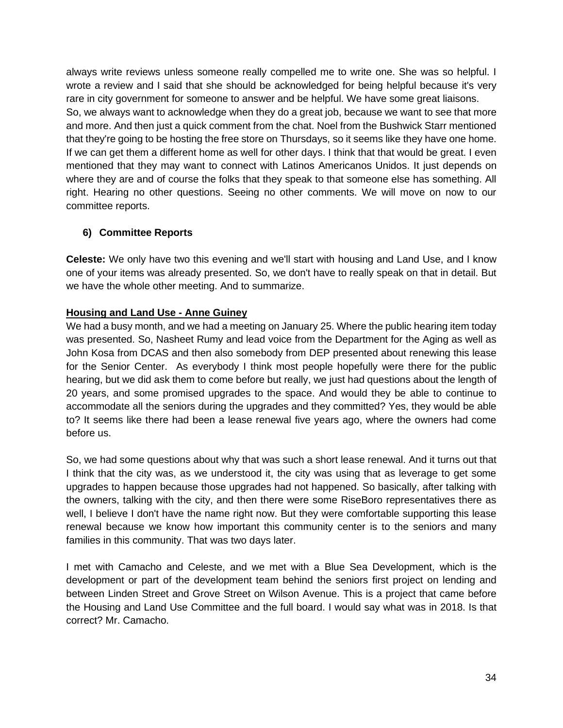always write reviews unless someone really compelled me to write one. She was so helpful. I wrote a review and I said that she should be acknowledged for being helpful because it's very rare in city government for someone to answer and be helpful. We have some great liaisons. So, we always want to acknowledge when they do a great job, because we want to see that more and more. And then just a quick comment from the chat. Noel from the Bushwick Starr mentioned that they're going to be hosting the free store on Thursdays, so it seems like they have one home. If we can get them a different home as well for other days. I think that that would be great. I even mentioned that they may want to connect with Latinos Americanos Unidos. It just depends on where they are and of course the folks that they speak to that someone else has something. All right. Hearing no other questions. Seeing no other comments. We will move on now to our committee reports.

# **6) Committee Reports**

**Celeste:** We only have two this evening and we'll start with housing and Land Use, and I know one of your items was already presented. So, we don't have to really speak on that in detail. But we have the whole other meeting. And to summarize.

# **Housing and Land Use - Anne Guiney**

We had a busy month, and we had a meeting on January 25. Where the public hearing item today was presented. So, Nasheet Rumy and lead voice from the Department for the Aging as well as John Kosa from DCAS and then also somebody from DEP presented about renewing this lease for the Senior Center. As everybody I think most people hopefully were there for the public hearing, but we did ask them to come before but really, we just had questions about the length of 20 years, and some promised upgrades to the space. And would they be able to continue to accommodate all the seniors during the upgrades and they committed? Yes, they would be able to? It seems like there had been a lease renewal five years ago, where the owners had come before us.

So, we had some questions about why that was such a short lease renewal. And it turns out that I think that the city was, as we understood it, the city was using that as leverage to get some upgrades to happen because those upgrades had not happened. So basically, after talking with the owners, talking with the city, and then there were some RiseBoro representatives there as well, I believe I don't have the name right now. But they were comfortable supporting this lease renewal because we know how important this community center is to the seniors and many families in this community. That was two days later.

I met with Camacho and Celeste, and we met with a Blue Sea Development, which is the development or part of the development team behind the seniors first project on lending and between Linden Street and Grove Street on Wilson Avenue. This is a project that came before the Housing and Land Use Committee and the full board. I would say what was in 2018. Is that correct? Mr. Camacho.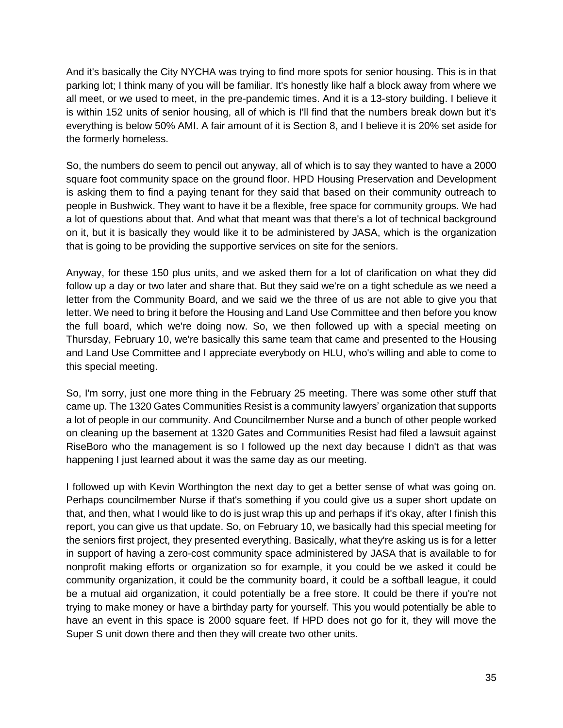And it's basically the City NYCHA was trying to find more spots for senior housing. This is in that parking lot; I think many of you will be familiar. It's honestly like half a block away from where we all meet, or we used to meet, in the pre-pandemic times. And it is a 13-story building. I believe it is within 152 units of senior housing, all of which is I'll find that the numbers break down but it's everything is below 50% AMI. A fair amount of it is Section 8, and I believe it is 20% set aside for the formerly homeless.

So, the numbers do seem to pencil out anyway, all of which is to say they wanted to have a 2000 square foot community space on the ground floor. HPD Housing Preservation and Development is asking them to find a paying tenant for they said that based on their community outreach to people in Bushwick. They want to have it be a flexible, free space for community groups. We had a lot of questions about that. And what that meant was that there's a lot of technical background on it, but it is basically they would like it to be administered by JASA, which is the organization that is going to be providing the supportive services on site for the seniors.

Anyway, for these 150 plus units, and we asked them for a lot of clarification on what they did follow up a day or two later and share that. But they said we're on a tight schedule as we need a letter from the Community Board, and we said we the three of us are not able to give you that letter. We need to bring it before the Housing and Land Use Committee and then before you know the full board, which we're doing now. So, we then followed up with a special meeting on Thursday, February 10, we're basically this same team that came and presented to the Housing and Land Use Committee and I appreciate everybody on HLU, who's willing and able to come to this special meeting.

So, I'm sorry, just one more thing in the February 25 meeting. There was some other stuff that came up. The 1320 Gates Communities Resist is a community lawyers' organization that supports a lot of people in our community. And Councilmember Nurse and a bunch of other people worked on cleaning up the basement at 1320 Gates and Communities Resist had filed a lawsuit against RiseBoro who the management is so I followed up the next day because I didn't as that was happening I just learned about it was the same day as our meeting.

I followed up with Kevin Worthington the next day to get a better sense of what was going on. Perhaps councilmember Nurse if that's something if you could give us a super short update on that, and then, what I would like to do is just wrap this up and perhaps if it's okay, after I finish this report, you can give us that update. So, on February 10, we basically had this special meeting for the seniors first project, they presented everything. Basically, what they're asking us is for a letter in support of having a zero-cost community space administered by JASA that is available to for nonprofit making efforts or organization so for example, it you could be we asked it could be community organization, it could be the community board, it could be a softball league, it could be a mutual aid organization, it could potentially be a free store. It could be there if you're not trying to make money or have a birthday party for yourself. This you would potentially be able to have an event in this space is 2000 square feet. If HPD does not go for it, they will move the Super S unit down there and then they will create two other units.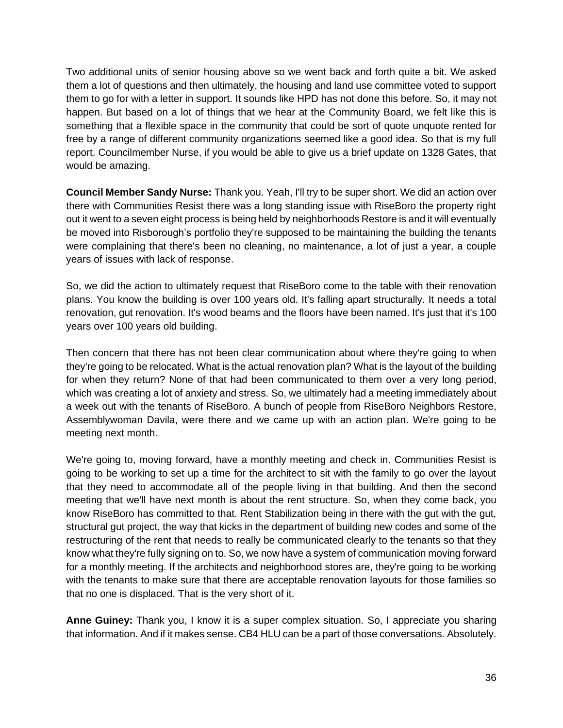Two additional units of senior housing above so we went back and forth quite a bit. We asked them a lot of questions and then ultimately, the housing and land use committee voted to support them to go for with a letter in support. It sounds like HPD has not done this before. So, it may not happen. But based on a lot of things that we hear at the Community Board, we felt like this is something that a flexible space in the community that could be sort of quote unquote rented for free by a range of different community organizations seemed like a good idea. So that is my full report. Councilmember Nurse, if you would be able to give us a brief update on 1328 Gates, that would be amazing.

**Council Member Sandy Nurse:** Thank you. Yeah, I'll try to be super short. We did an action over there with Communities Resist there was a long standing issue with RiseBoro the property right out it went to a seven eight process is being held by neighborhoods Restore is and it will eventually be moved into Risborough's portfolio they're supposed to be maintaining the building the tenants were complaining that there's been no cleaning, no maintenance, a lot of just a year, a couple years of issues with lack of response.

So, we did the action to ultimately request that RiseBoro come to the table with their renovation plans. You know the building is over 100 years old. It's falling apart structurally. It needs a total renovation, gut renovation. It's wood beams and the floors have been named. It's just that it's 100 years over 100 years old building.

Then concern that there has not been clear communication about where they're going to when they're going to be relocated. What is the actual renovation plan? What is the layout of the building for when they return? None of that had been communicated to them over a very long period, which was creating a lot of anxiety and stress. So, we ultimately had a meeting immediately about a week out with the tenants of RiseBoro. A bunch of people from RiseBoro Neighbors Restore, Assemblywoman Davila, were there and we came up with an action plan. We're going to be meeting next month.

We're going to, moving forward, have a monthly meeting and check in. Communities Resist is going to be working to set up a time for the architect to sit with the family to go over the layout that they need to accommodate all of the people living in that building. And then the second meeting that we'll have next month is about the rent structure. So, when they come back, you know RiseBoro has committed to that. Rent Stabilization being in there with the gut with the gut, structural gut project, the way that kicks in the department of building new codes and some of the restructuring of the rent that needs to really be communicated clearly to the tenants so that they know what they're fully signing on to. So, we now have a system of communication moving forward for a monthly meeting. If the architects and neighborhood stores are, they're going to be working with the tenants to make sure that there are acceptable renovation layouts for those families so that no one is displaced. That is the very short of it.

**Anne Guiney:** Thank you, I know it is a super complex situation. So, I appreciate you sharing that information. And if it makes sense. CB4 HLU can be a part of those conversations. Absolutely.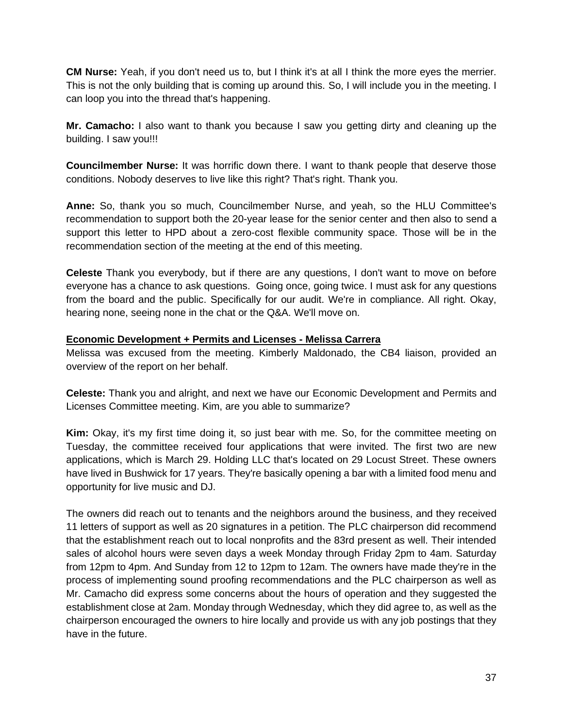**CM Nurse:** Yeah, if you don't need us to, but I think it's at all I think the more eyes the merrier. This is not the only building that is coming up around this. So, I will include you in the meeting. I can loop you into the thread that's happening.

**Mr. Camacho:** I also want to thank you because I saw you getting dirty and cleaning up the building. I saw you!!!

**Councilmember Nurse:** It was horrific down there. I want to thank people that deserve those conditions. Nobody deserves to live like this right? That's right. Thank you.

**Anne:** So, thank you so much, Councilmember Nurse, and yeah, so the HLU Committee's recommendation to support both the 20-year lease for the senior center and then also to send a support this letter to HPD about a zero-cost flexible community space. Those will be in the recommendation section of the meeting at the end of this meeting.

**Celeste** Thank you everybody, but if there are any questions, I don't want to move on before everyone has a chance to ask questions. Going once, going twice. I must ask for any questions from the board and the public. Specifically for our audit. We're in compliance. All right. Okay, hearing none, seeing none in the chat or the Q&A. We'll move on.

#### **Economic Development + Permits and Licenses - Melissa Carrera**

Melissa was excused from the meeting. Kimberly Maldonado, the CB4 liaison, provided an overview of the report on her behalf.

**Celeste:** Thank you and alright, and next we have our Economic Development and Permits and Licenses Committee meeting. Kim, are you able to summarize?

**Kim:** Okay, it's my first time doing it, so just bear with me. So, for the committee meeting on Tuesday, the committee received four applications that were invited. The first two are new applications, which is March 29. Holding LLC that's located on 29 Locust Street. These owners have lived in Bushwick for 17 years. They're basically opening a bar with a limited food menu and opportunity for live music and DJ.

The owners did reach out to tenants and the neighbors around the business, and they received 11 letters of support as well as 20 signatures in a petition. The PLC chairperson did recommend that the establishment reach out to local nonprofits and the 83rd present as well. Their intended sales of alcohol hours were seven days a week Monday through Friday 2pm to 4am. Saturday from 12pm to 4pm. And Sunday from 12 to 12pm to 12am. The owners have made they're in the process of implementing sound proofing recommendations and the PLC chairperson as well as Mr. Camacho did express some concerns about the hours of operation and they suggested the establishment close at 2am. Monday through Wednesday, which they did agree to, as well as the chairperson encouraged the owners to hire locally and provide us with any job postings that they have in the future.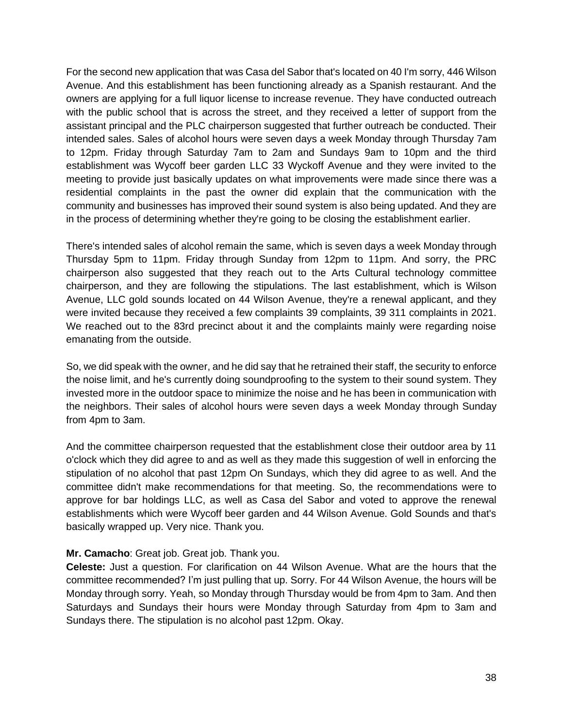For the second new application that was Casa del Sabor that's located on 40 I'm sorry, 446 Wilson Avenue. And this establishment has been functioning already as a Spanish restaurant. And the owners are applying for a full liquor license to increase revenue. They have conducted outreach with the public school that is across the street, and they received a letter of support from the assistant principal and the PLC chairperson suggested that further outreach be conducted. Their intended sales. Sales of alcohol hours were seven days a week Monday through Thursday 7am to 12pm. Friday through Saturday 7am to 2am and Sundays 9am to 10pm and the third establishment was Wycoff beer garden LLC 33 Wyckoff Avenue and they were invited to the meeting to provide just basically updates on what improvements were made since there was a residential complaints in the past the owner did explain that the communication with the community and businesses has improved their sound system is also being updated. And they are in the process of determining whether they're going to be closing the establishment earlier.

There's intended sales of alcohol remain the same, which is seven days a week Monday through Thursday 5pm to 11pm. Friday through Sunday from 12pm to 11pm. And sorry, the PRC chairperson also suggested that they reach out to the Arts Cultural technology committee chairperson, and they are following the stipulations. The last establishment, which is Wilson Avenue, LLC gold sounds located on 44 Wilson Avenue, they're a renewal applicant, and they were invited because they received a few complaints 39 complaints, 39 311 complaints in 2021. We reached out to the 83rd precinct about it and the complaints mainly were regarding noise emanating from the outside.

So, we did speak with the owner, and he did say that he retrained their staff, the security to enforce the noise limit, and he's currently doing soundproofing to the system to their sound system. They invested more in the outdoor space to minimize the noise and he has been in communication with the neighbors. Their sales of alcohol hours were seven days a week Monday through Sunday from 4pm to 3am.

And the committee chairperson requested that the establishment close their outdoor area by 11 o'clock which they did agree to and as well as they made this suggestion of well in enforcing the stipulation of no alcohol that past 12pm On Sundays, which they did agree to as well. And the committee didn't make recommendations for that meeting. So, the recommendations were to approve for bar holdings LLC, as well as Casa del Sabor and voted to approve the renewal establishments which were Wycoff beer garden and 44 Wilson Avenue. Gold Sounds and that's basically wrapped up. Very nice. Thank you.

#### **Mr. Camacho**: Great job. Great job. Thank you.

**Celeste:** Just a question. For clarification on 44 Wilson Avenue. What are the hours that the committee recommended? I'm just pulling that up. Sorry. For 44 Wilson Avenue, the hours will be Monday through sorry. Yeah, so Monday through Thursday would be from 4pm to 3am. And then Saturdays and Sundays their hours were Monday through Saturday from 4pm to 3am and Sundays there. The stipulation is no alcohol past 12pm. Okay.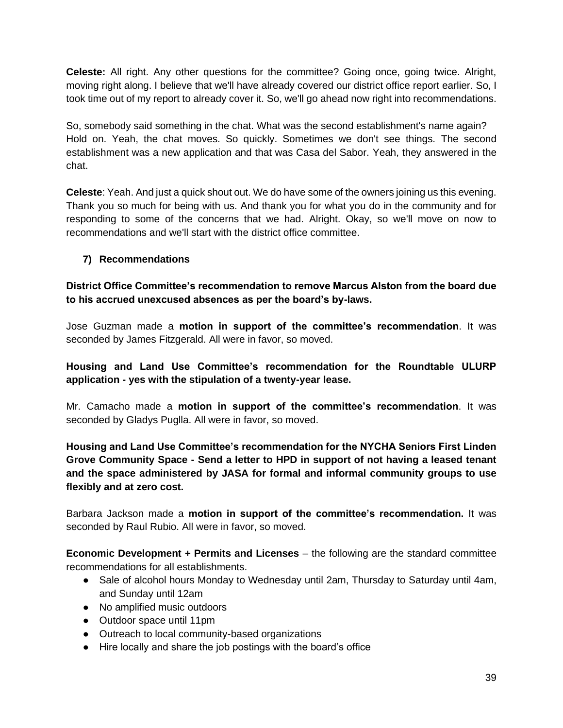**Celeste:** All right. Any other questions for the committee? Going once, going twice. Alright, moving right along. I believe that we'll have already covered our district office report earlier. So, I took time out of my report to already cover it. So, we'll go ahead now right into recommendations.

So, somebody said something in the chat. What was the second establishment's name again? Hold on. Yeah, the chat moves. So quickly. Sometimes we don't see things. The second establishment was a new application and that was Casa del Sabor. Yeah, they answered in the chat.

**Celeste**: Yeah. And just a quick shout out. We do have some of the owners joining us this evening. Thank you so much for being with us. And thank you for what you do in the community and for responding to some of the concerns that we had. Alright. Okay, so we'll move on now to recommendations and we'll start with the district office committee.

# **7) Recommendations**

**District Office Committee's recommendation to remove Marcus Alston from the board due to his accrued unexcused absences as per the board's by-laws.**

Jose Guzman made a **motion in support of the committee's recommendation**. It was seconded by James Fitzgerald. All were in favor, so moved.

**Housing and Land Use Committee's recommendation for the Roundtable ULURP application - yes with the stipulation of a twenty-year lease.**

Mr. Camacho made a **motion in support of the committee's recommendation**. It was seconded by Gladys Puglla. All were in favor, so moved.

**Housing and Land Use Committee's recommendation for the NYCHA Seniors First Linden Grove Community Space - Send a letter to HPD in support of not having a leased tenant and the space administered by JASA for formal and informal community groups to use flexibly and at zero cost.**

Barbara Jackson made a **motion in support of the committee's recommendation.** It was seconded by Raul Rubio. All were in favor, so moved.

**Economic Development + Permits and Licenses** – the following are the standard committee recommendations for all establishments.

- Sale of alcohol hours Monday to Wednesday until 2am, Thursday to Saturday until 4am, and Sunday until 12am
- No amplified music outdoors
- Outdoor space until 11pm
- Outreach to local community-based organizations
- Hire locally and share the job postings with the board's office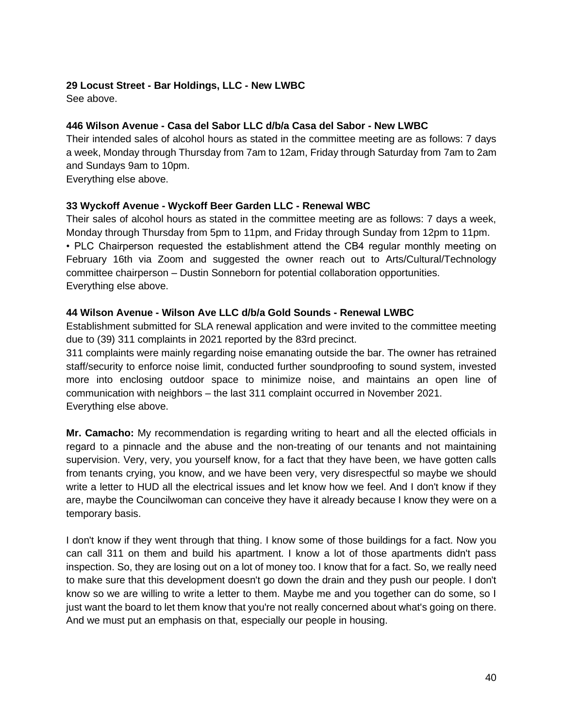## **29 Locust Street - Bar Holdings, LLC - New LWBC**

See above.

## **446 Wilson Avenue - Casa del Sabor LLC d/b/a Casa del Sabor - New LWBC**

Their intended sales of alcohol hours as stated in the committee meeting are as follows: 7 days a week, Monday through Thursday from 7am to 12am, Friday through Saturday from 7am to 2am and Sundays 9am to 10pm.

Everything else above.

#### **33 Wyckoff Avenue - Wyckoff Beer Garden LLC - Renewal WBC**

Their sales of alcohol hours as stated in the committee meeting are as follows: 7 days a week, Monday through Thursday from 5pm to 11pm, and Friday through Sunday from 12pm to 11pm. • PLC Chairperson requested the establishment attend the CB4 regular monthly meeting on February 16th via Zoom and suggested the owner reach out to Arts/Cultural/Technology committee chairperson – Dustin Sonneborn for potential collaboration opportunities. Everything else above.

#### **44 Wilson Avenue - Wilson Ave LLC d/b/a Gold Sounds - Renewal LWBC**

Establishment submitted for SLA renewal application and were invited to the committee meeting due to (39) 311 complaints in 2021 reported by the 83rd precinct.

311 complaints were mainly regarding noise emanating outside the bar. The owner has retrained staff/security to enforce noise limit, conducted further soundproofing to sound system, invested more into enclosing outdoor space to minimize noise, and maintains an open line of communication with neighbors – the last 311 complaint occurred in November 2021. Everything else above.

**Mr. Camacho:** My recommendation is regarding writing to heart and all the elected officials in regard to a pinnacle and the abuse and the non-treating of our tenants and not maintaining supervision. Very, very, you yourself know, for a fact that they have been, we have gotten calls from tenants crying, you know, and we have been very, very disrespectful so maybe we should write a letter to HUD all the electrical issues and let know how we feel. And I don't know if they are, maybe the Councilwoman can conceive they have it already because I know they were on a temporary basis.

I don't know if they went through that thing. I know some of those buildings for a fact. Now you can call 311 on them and build his apartment. I know a lot of those apartments didn't pass inspection. So, they are losing out on a lot of money too. I know that for a fact. So, we really need to make sure that this development doesn't go down the drain and they push our people. I don't know so we are willing to write a letter to them. Maybe me and you together can do some, so I just want the board to let them know that you're not really concerned about what's going on there. And we must put an emphasis on that, especially our people in housing.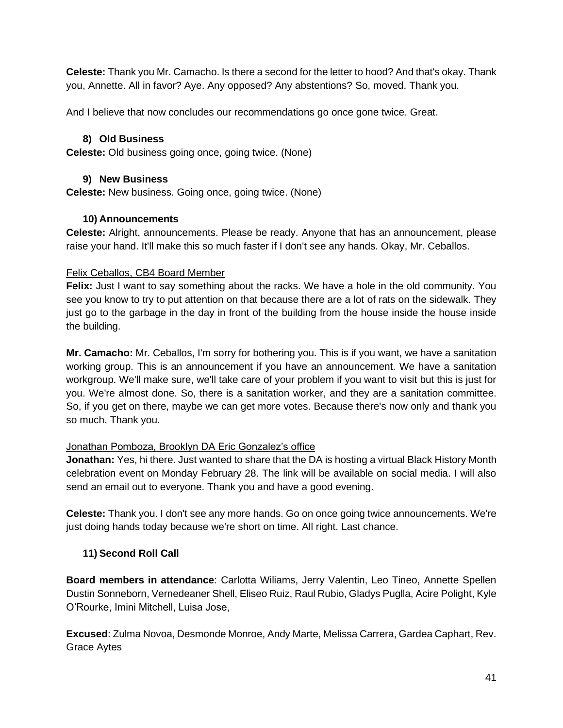**Celeste:** Thank you Mr. Camacho. Is there a second for the letter to hood? And that's okay. Thank you, Annette. All in favor? Aye. Any opposed? Any abstentions? So, moved. Thank you.

And I believe that now concludes our recommendations go once gone twice. Great.

## **8) Old Business**

**Celeste:** Old business going once, going twice. (None)

## **9) New Business**

**Celeste:** New business. Going once, going twice. (None)

## **10) Announcements**

**Celeste:** Alright, announcements. Please be ready. Anyone that has an announcement, please raise your hand. It'll make this so much faster if I don't see any hands. Okay, Mr. Ceballos.

## Felix Ceballos, CB4 Board Member

**Felix:** Just I want to say something about the racks. We have a hole in the old community. You see you know to try to put attention on that because there are a lot of rats on the sidewalk. They just go to the garbage in the day in front of the building from the house inside the house inside the building.

**Mr. Camacho:** Mr. Ceballos, I'm sorry for bothering you. This is if you want, we have a sanitation working group. This is an announcement if you have an announcement. We have a sanitation workgroup. We'll make sure, we'll take care of your problem if you want to visit but this is just for you. We're almost done. So, there is a sanitation worker, and they are a sanitation committee. So, if you get on there, maybe we can get more votes. Because there's now only and thank you so much. Thank you.

#### Jonathan Pomboza, Brooklyn DA Eric Gonzalez's office

**Jonathan:** Yes, hi there. Just wanted to share that the DA is hosting a virtual Black History Month celebration event on Monday February 28. The link will be available on social media. I will also send an email out to everyone. Thank you and have a good evening.

**Celeste:** Thank you. I don't see any more hands. Go on once going twice announcements. We're just doing hands today because we're short on time. All right. Last chance.

# **11) Second Roll Call**

**Board members in attendance**: Carlotta Wiliams, Jerry Valentin, Leo Tineo, Annette Spellen Dustin Sonneborn, Vernedeaner Shell, Eliseo Ruiz, Raul Rubio, Gladys Puglla, Acire Polight, Kyle O'Rourke, Imini Mitchell, Luisa Jose,

**Excused**: Zulma Novoa, Desmonde Monroe, Andy Marte, Melissa Carrera, Gardea Caphart, Rev. Grace Aytes